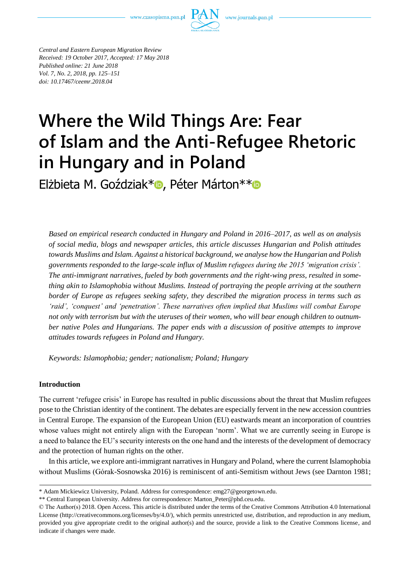www.czasopisma.pan.pl



*Central and Eastern European Migration Review Received: 19 October 2017, Accepted: 17 May 2018 Published online: 21 June 2018 Vol. 7, No. 2, 2018, pp. 125–151 doi: 10.17467/ceemr.2018.04*

# **Where the Wild Things Are: Fear of Islam and the Anti-Refugee Rhetoric in Hungary and in Poland**

Elżbieta M. Goździak[\\*](https://orcid.org/0000-0002-8793-0379)<sup>o</sup>, Péter Márton\*\*<sup>o</sup>

*Based on empirical research conducted in Hungary and Poland in 2016–2017, as well as on analysis of social media, blogs and newspaper articles, this article discusses Hungarian and Polish attitudes towards Muslims and Islam. Against a historical background, we analyse how the Hungarian and Polish governments responded to the large-scale influx of Muslim refugees during the 2015 'migration crisis'. The anti-immigrant narratives, fueled by both governments and the right-wing press, resulted in something akin to Islamophobia without Muslims. Instead of portraying the people arriving at the southern border of Europe as refugees seeking safety, they described the migration process in terms such as 'raid', 'conquest' and 'penetration'. These narratives often implied that Muslims will combat Europe not only with terrorism but with the uteruses of their women, who will bear enough children to outnumber native Poles and Hungarians. The paper ends with a discussion of positive attempts to improve attitudes towards refugees in Poland and Hungary.*

*Keywords: Islamophobia; gender; nationalism; Poland; Hungary* 

## **Introduction**

The current 'refugee crisis' in Europe has resulted in public discussions about the threat that Muslim refugees pose to the Christian identity of the continent. The debates are especially fervent in the new accession countries in Central Europe. The expansion of the European Union (EU) eastwards meant an incorporation of countries whose values might not entirely align with the European 'norm'. What we are currently seeing in Europe is a need to balance the EU's security interests on the one hand and the interests of the development of democracy and the protection of human rights on the other.

In this article, we explore anti-immigrant narratives in Hungary and Poland, where the current Islamophobia without Muslims (Górak-Sosnowska 2016) is reminiscent of anti-Semitism without Jews (see Darnton 1981;

<sup>\*</sup> Adam Mickiewicz University, Poland. Address for correspondence: emg27@georgetown.edu.

<sup>\*\*</sup> Central European University. Address for correspondence: Marton\_Peter@phd.ceu.edu.

<sup>©</sup> The Author(s) 2018. Open Access. This article is distributed under the terms of the Creative Commons Attribution 4.0 International License [\(http://creativecommons.org/licenses/by/4.0/\)](http://creativecommons.org/licenses/by/4.0/), which permits unrestricted use, distribution, and reproduction in any medium, provided you give appropriate credit to the original author(s) and the source, provide a link to the Creative Commons license, and indicate if changes were made.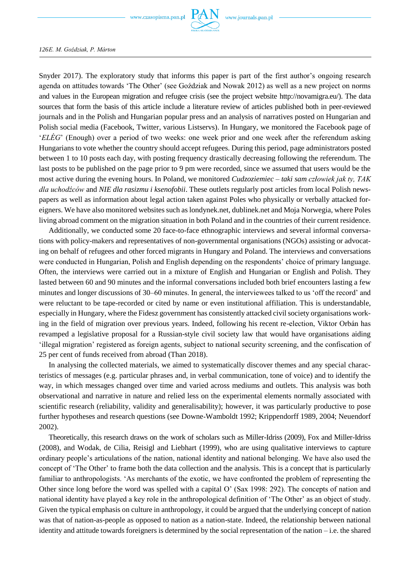

Snyder 2017). The exploratory study that informs this paper is part of the first author's ongoing research agenda on attitudes towards 'The Other' (see Goździak and Nowak 2012) as well as a new project on norms and values in the European migration and refugee crisis (see the project website http://novamigra.eu/). The data sources that form the basis of this article include a literature review of articles published both in peer-reviewed journals and in the Polish and Hungarian popular press and an analysis of narratives posted on Hungarian and Polish social media (Facebook, Twitter, various Listservs). In Hungary, we monitored the Facebook page of '*ELÉG*' (Enough) over a period of two weeks: one week prior and one week after the referendum asking Hungarians to vote whether the country should accept refugees. During this period, page administrators posted between 1 to 10 posts each day, with posting frequency drastically decreasing following the referendum. The last posts to be published on the page prior to 9 pm were recorded, since we assumed that users would be the most active during the evening hours. In Poland, we monitored *Cudzoziemiec – taki sam człowiek jak ty, TAK dla uchodźców* and *NIE dla rasizmu i ksenofobii*. These outlets regularly post articles from local Polish newspapers as well as information about legal action taken against Poles who physically or verbally attacked foreigners. We have also monitored websites such as londynek.net, dublinek.net and Moja Norwegia, where Poles living abroad comment on the migration situation in both Poland and in the countries of their current residence.

Additionally, we conducted some 20 face-to-face ethnographic interviews and several informal conversations with policy-makers and representatives of non-governmental organisations (NGOs) assisting or advocating on behalf of refugees and other forced migrants in Hungary and Poland. The interviews and conversations were conducted in Hungarian, Polish and English depending on the respondents' choice of primary language. Often, the interviews were carried out in a mixture of English and Hungarian or English and Polish. They lasted between 60 and 90 minutes and the informal conversations included both brief encounters lasting a few minutes and longer discussions of 30–60 minutes. In general, the interviewees talked to us 'off the record' and were reluctant to be tape-recorded or cited by name or even institutional affiliation. This is understandable, especially in Hungary, where the Fidesz government has consistently attacked civil society organisations working in the field of migration over previous years. Indeed, following his recent re-election, Viktor Orbán has revamped a legislative proposal for a Russian-style civil society law that would have organisations aiding 'illegal migration' registered as foreign agents, subject to national security screening, and the confiscation of 25 per cent of funds received from abroad (Than 2018).

In analysing the collected materials, we aimed to systematically discover themes and any special characteristics of messages (e.g. particular phrases and, in verbal communication, tone of voice) and to identify the way, in which messages changed over time and varied across mediums and outlets. This analysis was both observational and narrative in nature and relied less on the experimental elements normally associated with scientific research (reliability, validity and generalisability); however, it was particularly productive to pose further hypotheses and research questions (see Downe‐Wamboldt 1992; Krippendorff 1989, 2004; Neuendorf 2002).

Theoretically, this research draws on the work of scholars such as Miller-Idriss (2009), Fox and Miller-Idriss (2008), and Wodak, de Cilia, Reisigl and Liebhart (1999), who are using qualitative interviews to capture ordinary people's articulations of the nation, national identity and national belonging. We have also used the concept of 'The Other' to frame both the data collection and the analysis. This is a concept that is particularly familiar to anthropologists. 'As merchants of the exotic, we have confronted the problem of representing the Other since long before the word was spelled with a capital O' (Sax 1998: 292). The concepts of nation and national identity have played a key role in the anthropological definition of 'The Other' as an object of study. Given the typical emphasis on culture in anthropology, it could be argued that the underlying concept of nation was that of nation-as-people as opposed to nation as a nation-state. Indeed, the relationship between national identity and attitude towards foreigners is determined by the social representation of the nation – i.e. the shared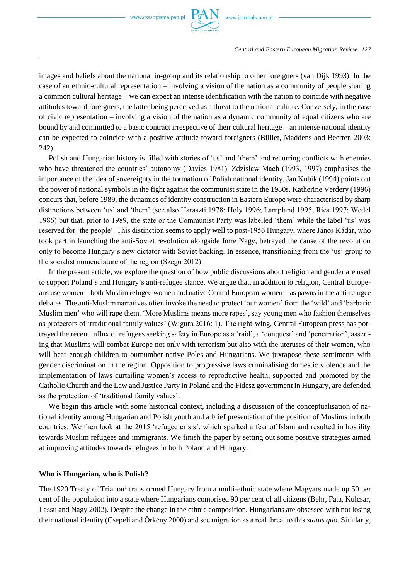

images and beliefs about the national in-group and its relationship to other foreigners (van Dijk 1993). In the case of an ethnic-cultural representation – involving a vision of the nation as a community of people sharing a common cultural heritage – we can expect an intense identification with the nation to coincide with negative attitudes toward foreigners, the latter being perceived as a threat to the national culture. Conversely, in the case of civic representation – involving a vision of the nation as a dynamic community of equal citizens who are bound by and committed to a basic contract irrespective of their cultural heritage – an intense national identity can be expected to coincide with a positive attitude toward foreigners (Billiet, Maddens and Beerten 2003: 242).

Polish and Hungarian history is filled with stories of 'us' and 'them' and recurring conflicts with enemies who have threatened the countries' autonomy (Davies 1981). Zdzisław Mach (1993, 1997) emphasises the importance of the idea of sovereignty in the formation of Polish national identity. Jan Kubik (1994) points out the power of national symbols in the fight against the communist state in the 1980s. Katherine Verdery (1996) concurs that, before 1989, the dynamics of identity construction in Eastern Europe were characterised by sharp distinctions between 'us' and 'them' (see also Haraszti 1978; Holy 1996; Lampland 1995; Ries 1997; Wedel 1986) but that, prior to 1989, the state or the Communist Party was labelled 'them' while the label 'us' was reserved for 'the people'. This distinction seems to apply well to post-1956 Hungary, where János Kádár, who took part in launching the anti-Soviet revolution alongside Imre Nagy, betrayed the cause of the revolution only to become Hungary's new dictator with Soviet backing. In essence, transitioning from the 'us' group to the socialist nomenclature of the region (Szegő 2012).

In the present article, we explore the question of how public discussions about religion and gender are used to support Poland's and Hungary's anti-refugee stance. We argue that, in addition to religion, Central Europeans use women – both Muslim refugee women and native Central European women – as pawns in the anti-refugee debates. The anti-Muslim narratives often invoke the need to protect 'our women' from the 'wild' and 'barbaric Muslim men' who will rape them. 'More Muslims means more rapes', say young men who fashion themselves as protectors of 'traditional family values' (Wigura 2016: 1). The right-wing, Central European press has portrayed the recent influx of refugees seeking safety in Europe as a 'raid', a 'conquest' and 'penetration', asserting that Muslims will combat Europe not only with terrorism but also with the uteruses of their women, who will bear enough children to outnumber native Poles and Hungarians. We juxtapose these sentiments with gender discrimination in the region. Opposition to progressive laws criminalising domestic violence and the implementation of laws curtailing women's access to reproductive health, supported and promoted by the Catholic Church and the Law and Justice Party in Poland and the Fidesz government in Hungary, are defended as the protection of 'traditional family values'.

We begin this article with some historical context, including a discussion of the conceptualisation of national identity among Hungarian and Polish youth and a brief presentation of the position of Muslims in both countries. We then look at the 2015 'refugee crisis', which sparked a fear of Islam and resulted in hostility towards Muslim refugees and immigrants. We finish the paper by setting out some positive strategies aimed at improving attitudes towards refugees in both Poland and Hungary.

#### **Who is Hungarian, who is Polish?**

The 1920 Treaty of Trianon<sup>1</sup> transformed Hungary from a multi-ethnic state where Magyars made up 50 per cent of the population into a state where Hungarians comprised 90 per cent of all citizens (Behr, Fata, Kulcsar, Lassu and Nagy 2002). Despite the change in the ethnic composition, Hungarians are obsessed with not losing their national identity (Csepeli and Örkény 2000) and see migration as a real threat to this *status quo*. Similarly,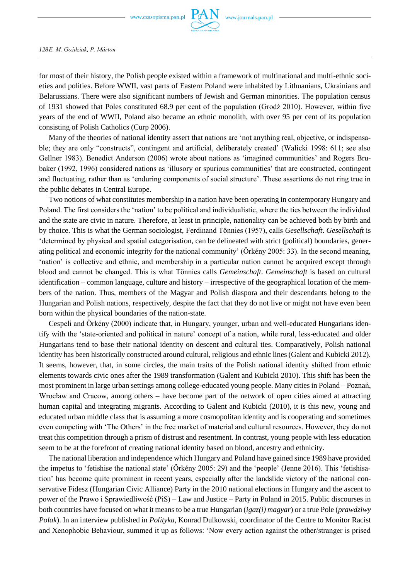

for most of their history, the Polish people existed within a framework of multinational and multi-ethnic societies and polities. Before WWII, vast parts of Eastern Poland were inhabited by Lithuanians, Ukrainians and Belarussians. There were also significant numbers of Jewish and German minorities. The population census of 1931 showed that Poles constituted 68.9 per cent of the population (Grodź 2010). However, within five years of the end of WWII, Poland also became an ethnic monolith, with over 95 per cent of its population consisting of Polish Catholics (Curp 2006).

Many of the theories of national identity assert that nations are 'not anything real, objective, or indispensable; they are only "constructs", contingent and artificial, deliberately created' (Walicki 1998: 611; see also Gellner 1983). Benedict Anderson (2006) wrote about nations as 'imagined communities' and Rogers Brubaker (1992, 1996) considered nations as 'illusory or spurious communities' that are constructed, contingent and fluctuating, rather than as 'enduring components of social structure'. These assertions do not ring true in the public debates in Central Europe.

Two notions of what constitutes membership in a nation have been operating in contemporary Hungary and Poland. The first considers the 'nation' to be political and individualistic, where the ties between the individual and the state are civic in nature. Therefore, at least in principle, nationality can be achieved both by birth and by choice. This is what the German sociologist, Ferdinand Tönnies (1957), calls *Gesellschaft*. *Gesellschaft* is 'determined by physical and spatial categorisation, can be delineated with strict (political) boundaries, generating political and economic integrity for the national community' (Örkény 2005: 33). In the second meaning, 'nation' is collective and ethnic, and membership in a particular nation cannot be acquired except through blood and cannot be changed. This is what Tönnies calls *Gemeinschaft*. *Gemeinschaft* is based on cultural identification – common language, culture and history – irrespective of the geographical location of the members of the nation. Thus, members of the Magyar and Polish diaspora and their descendants belong to the Hungarian and Polish nations, respectively, despite the fact that they do not live or might not have even been born within the physical boundaries of the nation-state.

Cespeli and Örkény (2000) indicate that, in Hungary, younger, urban and well-educated Hungarians identify with the 'state-oriented and political in nature' concept of a nation, while rural, less-educated and older Hungarians tend to base their national identity on descent and cultural ties. Comparatively, Polish national identity has been historically constructed around cultural, religious and ethnic lines (Galent and Kubicki 2012). It seems, however, that, in some circles, the main traits of the Polish national identity shifted from ethnic elements towards civic ones after the 1989 transformation (Galent and Kubicki 2010). This shift has been the most prominent in large urban settings among college-educated young people. Many cities in Poland – Poznań, Wrocław and Cracow, among others – have become part of the network of open cities aimed at attracting human capital and integrating migrants. According to Galent and Kubicki (2010), it is this new, young and educated urban middle class that is assuming a more cosmopolitan identity and is cooperating and sometimes even competing with 'The Others' in the free market of material and cultural resources. However, they do not treat this competition through a prism of distrust and resentment. In contrast, young people with less education seem to be at the forefront of creating national identity based on blood, ancestry and ethnicity.

The national liberation and independence which Hungary and Poland have gained since 1989 have provided the impetus to 'fetishise the national state' (Örkény 2005: 29) and the 'people' (Jenne 2016). This 'fetishisation' has become quite prominent in recent years, especially after the landslide victory of the national conservative Fidesz (Hungarian Civic Alliance) Party in the 2010 national elections in Hungary and the ascent to power of the Prawo i Sprawiedliwość (PiS) – Law and Justice – Party in Poland in 2015. Public discourses in both countries have focused on what it means to be a true Hungarian (*igaz(i) magyar*) or a true Pole (*prawdziwy Polak*). In an interview published in *Polityka*, Konrad Dulkowski, coordinator of the Centre to Monitor Racist and Xenophobic Behaviour, summed it up as follows: 'Now every action against the other/stranger is prised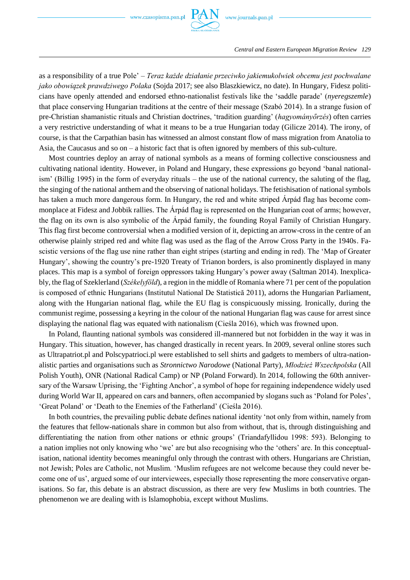

as a responsibility of a true Pole' – *Teraz każde działanie przeciwko jakiemukolwiek obcemu jest pochwalane jako obowiązek prawdziwego Polaka* (Sojda 2017; see also Blaszkiewicz, no date). In Hungary, Fidesz politicians have openly attended and endorsed ethno-nationalist festivals like the 'saddle parade' (*nyeregszemle*) that place conserving Hungarian traditions at the centre of their message (Szabó 2014). In a strange fusion of pre-Christian shamanistic rituals and Christian doctrines, 'tradition guarding' (*hagyományőrzés*) often carries a very restrictive understanding of what it means to be a true Hungarian today (Gilicze 2014). The irony, of course, is that the Carpathian basin has witnessed an almost constant flow of mass migration from Anatolia to Asia, the Caucasus and so on – a historic fact that is often ignored by members of this sub-culture.

Most countries deploy an array of national symbols as a means of forming collective consciousness and cultivating national identity. However, in Poland and Hungary, these expressions go beyond 'banal nationalism' (Billig 1995) in the form of everyday rituals – the use of the national currency, the saluting of the flag, the singing of the national anthem and the observing of national holidays. The fetishisation of national symbols has taken a much more dangerous form. In Hungary, the red and white striped Árpád flag has become commonplace at Fidesz and Jobbik rallies. The Árpád flag is represented on the Hungarian coat of arms; however, the flag on its own is also symbolic of the Árpád family, the founding Royal Family of Christian Hungary. This flag first become controversial when a modified version of it, depicting an arrow-cross in the centre of an otherwise plainly striped red and white flag was used as the flag of the Arrow Cross Party in the 1940s. Fascistic versions of the flag use nine rather than eight stripes (starting and ending in red). The 'Map of Greater Hungary', showing the country's pre-1920 Treaty of Trianon borders, is also prominently displayed in many places. This map is a symbol of foreign oppressors taking Hungary's power away (Saltman 2014). Inexplicably, the flag of Szeklerland (*Székelyföld*), a region in the middle of Romania where 71 per cent of the population is composed of ethnic Hungarians (Institutul National De Statistică 2011), adorns the Hungarian Parliament, along with the Hungarian national flag, while the EU flag is conspicuously missing. Ironically, during the communist regime, possessing a keyring in the colour of the national Hungarian flag was cause for arrest since displaying the national flag was equated with nationalism (Cieśla 2016), which was frowned upon.

In Poland, flaunting national symbols was considered ill-mannered but not forbidden in the way it was in Hungary. This situation, however, has changed drastically in recent years. In 2009, several online stores such as Ultrapatriot.pl and Polscypatrioci.pl were established to sell shirts and gadgets to members of ultra-nationalistic parties and organisations such as *Stronnictwo Narodowe* (National Party), *Młodzież Wszechpolska* (All Polish Youth), ONR (National Radical Camp) or NP (Poland Forward). In 2014, following the 60th anniversary of the Warsaw Uprising, the 'Fighting Anchor', a symbol of hope for regaining independence widely used during World War II, appeared on cars and banners, often accompanied by slogans such as 'Poland for Poles', 'Great Poland' or 'Death to the Enemies of the Fatherland' (Cieśla 2016).

In both countries, the prevailing public debate defines national identity 'not only from within, namely from the features that fellow-nationals share in common but also from without, that is, through distinguishing and differentiating the nation from other nations or ethnic groups' (Triandafyllidou 1998: 593). Belonging to a nation implies not only knowing who 'we' are but also recognising who the 'others' are. In this conceptualisation, national identity becomes meaningful only through the contrast with others. Hungarians are Christian, not Jewish; Poles are Catholic, not Muslim. 'Muslim refugees are not welcome because they could never become one of us', argued some of our interviewees, especially those representing the more conservative organisations. So far, this debate is an abstract discussion, as there are very few Muslims in both countries. The phenomenon we are dealing with is Islamophobia, except without Muslims.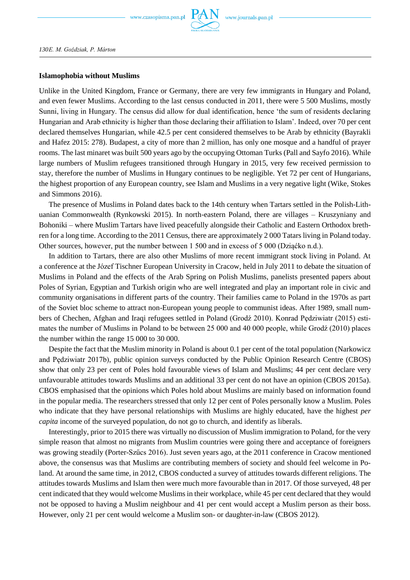

## **Islamophobia without Muslims**

Unlike in the United Kingdom, France or Germany, there are very few immigrants in Hungary and Poland, and even fewer Muslims. According to the last census conducted in 2011, there were 5 500 Muslims, mostly Sunni, living in Hungary. The census did allow for dual identification, hence 'the sum of residents declaring Hungarian and Arab ethnicity is higher than those declaring their affiliation to Islam'. Indeed, over 70 per cent declared themselves Hungarian, while 42.5 per cent considered themselves to be Arab by ethnicity (Bayrakli and Hafez 2015: 278). Budapest, a city of more than 2 million, has only one mosque and a handful of prayer rooms. The last minaret was built 500 years ago by the occupying Ottoman Turks (Pall and Sayfo 2016). While large numbers of Muslim refugees transitioned through Hungary in 2015, very few received permission to stay, therefore the number of Muslims in Hungary continues to be negligible. Yet 72 per cent of Hungarians, the highest proportion of any European country, see Islam and Muslims in a very negative light (Wike, Stokes and Simmons 2016).

The presence of Muslims in Poland dates back to the 14th century when Tartars settled in the Polish-Lithuanian Commonwealth (Rynkowski 2015). In north-eastern Poland, there are villages – Kruszyniany and Bohoniki – where Muslim Tartars have lived peacefully alongside their Catholic and Eastern Orthodox brethren for a long time. According to the 2011 Census, there are approximately 2 000 Tatars living in Poland today. Other sources, however, put the number between 1 500 and in excess of 5 000 (Dziąćko n.d.).

In addition to Tartars, there are also other Muslims of more recent immigrant stock living in Poland. At a conference at the Józef Tischner European University in Cracow, held in July 2011 to debate the situation of Muslims in Poland and the effects of the Arab Spring on Polish Muslims, panelists presented papers about Poles of Syrian, Egyptian and Turkish origin who are well integrated and play an important role in civic and community organisations in different parts of the country. Their families came to Poland in the 1970s as part of the Soviet bloc scheme to attract non-European young people to communist ideas. After 1989, small numbers of Chechen, Afghan and Iraqi refugees settled in Poland (Grodź 2010). Konrad Pędziwiatr (2015) estimates the number of Muslims in Poland to be between 25 000 and 40 000 people, while Grodź (2010) places the number within the range 15 000 to 30 000.

Despite the fact that the Muslim minority in Poland is about 0.1 per cent of the total population (Narkowicz and Pędziwiatr 2017b), public opinion surveys conducted by the Public Opinion Research Centre (CBOS) show that only 23 per cent of Poles hold favourable views of Islam and Muslims; 44 per cent declare very unfavourable attitudes towards Muslims and an additional 33 per cent do not have an opinion (CBOS 2015a). CBOS emphasised that the opinions which Poles hold about Muslims are mainly based on information found in the popular media. The researchers stressed that only 12 per cent of Poles personally know a Muslim. Poles who indicate that they have personal relationships with Muslims are highly educated, have the highest *per capita* income of the surveyed population, do not go to church, and identify as liberals.

Interestingly, prior to 2015 there was virtually no discussion of Muslim immigration to Poland, for the very simple reason that almost no migrants from Muslim countries were going there and acceptance of foreigners was growing steadily (Porter-Szűcs 2016). Just seven years ago, at the 2011 conference in Cracow mentioned above, the consensus was that Muslims are contributing members of society and should feel welcome in Poland. At around the same time, in 2012, CBOS conducted a survey of attitudes towards different religions. The attitudes towards Muslims and Islam then were much more favourable than in 2017. Of those surveyed, 48 per cent indicated that they would welcome Muslims in their workplace, while 45 per cent declared that they would not be opposed to having a Muslim neighbour and 41 per cent would accept a Muslim person as their boss. However, only 21 per cent would welcome a Muslim son- or daughter-in-law (CBOS 2012).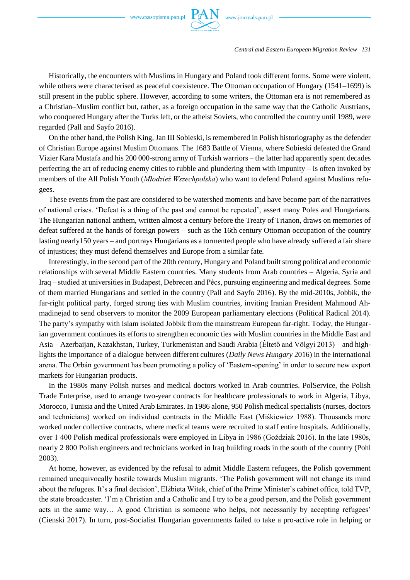

*Central and Eastern European Migration Review 131*

Historically, the encounters with Muslims in Hungary and Poland took different forms. Some were violent, while others were characterised as peaceful coexistence. The Ottoman occupation of Hungary (1541–1699) is still present in the public sphere. However, according to some writers, the Ottoman era is not remembered as a Christian–Muslim conflict but, rather, as a foreign occupation in the same way that the Catholic Austrians, who conquered Hungary after the Turks left, or the atheist Soviets, who controlled the country until 1989, were regarded (Pall and Sayfo 2016).

On the other hand, the Polish King, Jan III Sobieski, is remembered in Polish historiography as the defender of Christian Europe against Muslim Ottomans. The 1683 Battle of Vienna, where Sobieski defeated the Grand Vizier Kara Mustafa and his 200 000-strong army of Turkish warriors – the latter had apparently spent decades perfecting the art of reducing enemy cities to rubble and plundering them with impunity – is often invoked by members of the All Polish Youth (*Młodzież Wszechpolska*) who want to defend Poland against Muslims refugees.

These events from the past are considered to be watershed moments and have become part of the narratives of national crises. 'Defeat is a thing of the past and cannot be repeated', assert many Poles and Hungarians. The Hungarian national anthem, written almost a century before the Treaty of Trianon, draws on memories of defeat suffered at the hands of foreign powers – such as the 16th century Ottoman occupation of the country lasting nearly150 years – and portrays Hungarians as a tormented people who have already suffered a fair share of injustices; they must defend themselves and Europe from a similar fate.

Interestingly, in the second part of the 20th century, Hungary and Poland built strong political and economic relationships with several Middle Eastern countries. Many students from Arab countries – Algeria, Syria and Iraq – studied at universities in Budapest, Debrecen and Pécs, pursuing engineering and medical degrees. Some of them married Hungarians and settled in the country (Pall and Sayfo 2016). By the mid-2010s, Jobbik, the far-right political party, forged strong ties with Muslim countries, inviting Iranian President Mahmoud Ahmadinejad to send observers to monitor the 2009 European parliamentary elections (Political Radical 2014). The party's sympathy with Islam isolated Jobbik from the mainstream European far-right. Today, the Hungarian government continues its efforts to strengthen economic ties with Muslim countries in the Middle East and Asia – Azerbaijan, Kazakhstan, Turkey, Turkmenistan and Saudi Arabia (Éltető and Völgyi 2013) – and highlights the importance of a dialogue between different cultures (*Daily News Hungary* 2016) in the international arena. The Orbán government has been promoting a policy of 'Eastern-opening' in order to secure new export markets for Hungarian products.

In the 1980s many Polish nurses and medical doctors worked in Arab countries. PolService, the Polish Trade Enterprise, used to arrange two-year contracts for healthcare professionals to work in Algeria, Libya, Morocco, Tunisia and the United Arab Emirates. In 1986 alone, 950 Polish medical specialists (nurses, doctors and technicians) worked on individual contracts in the Middle East (Miśkiewicz 1988). Thousands more worked under collective contracts, where medical teams were recruited to staff entire hospitals. Additionally, over 1 400 Polish medical professionals were employed in Libya in 1986 (Goździak 2016). In the late 1980s, nearly 2 800 Polish engineers and technicians worked in Iraq building roads in the south of the country (Pohl 2003).

At home, however, as evidenced by the refusal to admit Middle Eastern refugees, the Polish government remained unequivocally hostile towards Muslim migrants. 'The Polish government will not change its mind about the refugees. It's a final decision', Elżbieta Witek, chief of the Prime Minister's cabinet office, told TVP, the state broadcaster. 'I'm a Christian and a Catholic and I try to be a good person, and the Polish government acts in the same way… A good Christian is someone who helps, not necessarily by accepting refugees' (Cienski 2017). In turn, post-Socialist Hungarian governments failed to take a pro-active role in helping or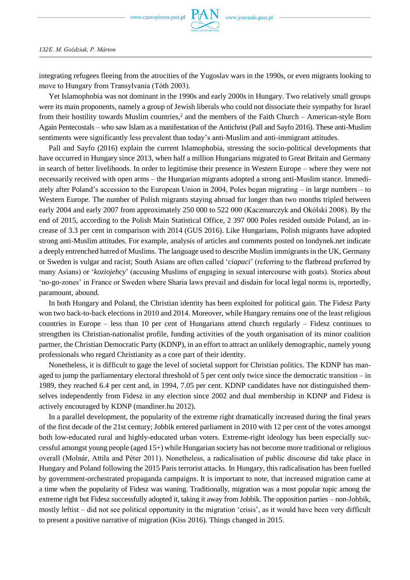

integrating refugees fleeing from the atrocities of the Yugoslav wars in the 1990s, or even migrants looking to move to Hungary from Transylvania (Tóth 2003).

Yet Islamophobia was not dominant in the 1990s and early 2000s in Hungary. Two relatively small groups were its main proponents, namely a group of Jewish liberals who could not dissociate their sympathy for Israel from their hostility towards Muslim countries,<sup>2</sup> and the members of the Faith Church – American-style Born Again Pentecostals – who saw Islam as a manifestation of the Antichrist (Pall and Sayfo 2016). These anti-Muslim sentiments were significantly less prevalent than today's anti-Muslim and anti-immigrant attitudes.

Pall and Sayfo (2016) explain the current Islamophobia, stressing the socio-political developments that have occurred in Hungary since 2013, when half a million Hungarians migrated to Great Britain and Germany in search of better livelihoods. In order to legitimise their presence in Western Europe – where they were not necessarily received with open arms – the Hungarian migrants adopted a strong anti-Muslim stance. Immediately after Poland's accession to the European Union in 2004, Poles began migrating – in large numbers – to Western Europe. The number of Polish migrants staying abroad for longer than two months tripled between early 2004 and early 2007 from approximately 250 000 to 522 000 (Kaczmarczyk and Okólski 2008). By the end of 2015, according to the Polish Main Statistical Office, 2 397 000 Poles resided outside Poland, an increase of 3.3 per cent in comparison with 2014 (GUS 2016). Like Hungarians, Polish migrants have adopted strong anti-Muslim attitudes. For example, analysis of articles and comments posted on londynek.net indicate a deeply entrenched hatred of Muslims. The language used to describe Muslim immigrants in the UK, Germany or Sweden is vulgar and racist; South Asians are often called '*ciapaci*' (referring to the flatbread preferred by many Asians) or '*koziojebcy*' (accusing Muslims of engaging in sexual intercourse with goats). Stories about 'no-go-zones' in France or Sweden where Sharia laws prevail and disdain for local legal norms is, reportedly, paramount, abound.

In both Hungary and Poland, the Christian identity has been exploited for political gain. The Fidesz Party won two back-to-back elections in 2010 and 2014. Moreover, while Hungary remains one of the least religious countries in Europe – less than 10 per cent of Hungarians attend church regularly – Fidesz continues to strengthen its Christian-nationalist profile, funding activities of the youth organisation of its minor coalition partner, the Christian Democratic Party (KDNP), in an effort to attract an unlikely demographic, namely young professionals who regard Christianity as a core part of their identity.

Nonetheless, it is difficult to gage the level of societal support for Christian politics. The KDNP has managed to jump the parliamentary electoral threshold of 5 per cent only twice since the democratic transition – in 1989, they reached 6.4 per cent and, in 1994, 7.05 per cent. KDNP candidates have not distinguished themselves independently from Fidesz in any election since 2002 and dual membership in KDNP and Fidesz is actively encouraged by KDNP (mandiner.hu 2012).

In a parallel development, the popularity of the extreme right dramatically increased during the final years of the first decade of the 21st century; Jobbik entered parliament in 2010 with 12 per cent of the votes amongst both low-educated rural and highly-educated urban voters. Extreme-right ideology has been especially successful amongst young people (aged 15+) while Hungarian society has not become more traditional or religious overall (Molnár, Attila and Péter 2011). Nonetheless, a radicalisation of public discourse did take place in Hungary and Poland following the 2015 Paris terrorist attacks. In Hungary, this radicalisation has been fuelled by government-orchestrated propaganda campaigns. It is important to note, that increased migration came at a time when the popularity of Fidesz was waning. Traditionally, migration was a most popular topic among the extreme right but Fidesz successfully adopted it, taking it away from Jobbik. The opposition parties – non-Jobbik, mostly leftist – did not see political opportunity in the migration 'crisis', as it would have been very difficult to present a positive narrative of migration (Kiss 2016). Things changed in 2015.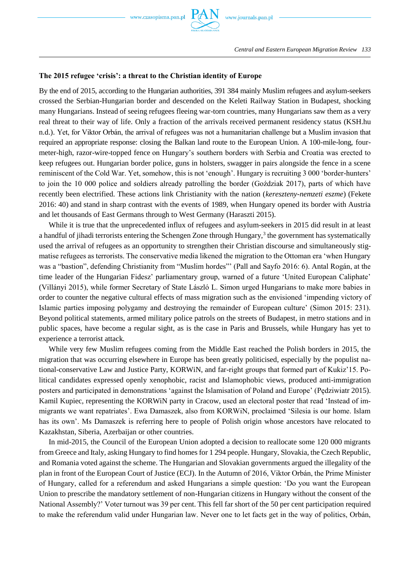### **The 2015 refugee 'crisis': a threat to the Christian identity of Europe**

By the end of 2015, according to the Hungarian authorities, 391 384 mainly Muslim refugees and asylum-seekers crossed the Serbian-Hungarian border and descended on the Keleti Railway Station in Budapest, shocking many Hungarians. Instead of seeing refugees fleeing war-torn countries, many Hungarians saw them as a very real threat to their way of life. Only a fraction of the arrivals received permanent residency status (KSH.hu n.d.). Yet, for Viktor Orbán, the arrival of refugees was not a humanitarian challenge but a Muslim invasion that required an appropriate response: closing the Balkan land route to the European Union. A 100-mile-long, fourmeter-high, razor-wire-topped fence on Hungary's southern borders with Serbia and Croatia was erected to keep refugees out. Hungarian border police, guns in holsters, swagger in pairs alongside the fence in a scene reminiscent of the Cold War. Yet, somehow, this is not 'enough'. Hungary is recruiting 3 000 'border-hunters' to join the 10 000 police and soldiers already patrolling the border (Goździak 2017), parts of which have recently been electrified. These actions link Christianity with the nation (*kereszteny-nemzeti eszme*) (Fekete 2016: 40) and stand in sharp contrast with the events of 1989, when Hungary opened its border with Austria and let thousands of East Germans through to West Germany (Haraszti 2015).

While it is true that the unprecedented influx of refugees and asylum-seekers in 2015 did result in at least a handful of jihadi terrorists entering the Schengen Zone through Hungary,<sup>3</sup> the government has systematically used the arrival of refugees as an opportunity to strengthen their Christian discourse and simultaneously stigmatise refugees as terrorists. The conservative media likened the migration to the Ottoman era 'when Hungary was a "bastion", defending Christianity from "Muslim hordes"' (Pall and Sayfo 2016: 6). Antal Rogán, at the time leader of the Hungarian Fidesz' parliamentary group, warned of a future 'United European Caliphate' (Villányi 2015), while former Secretary of State László L. Simon urged Hungarians to make more babies in order to counter the negative cultural effects of mass migration such as the envisioned 'impending victory of Islamic parties imposing polygamy and destroying the remainder of European culture' (Simon 2015: 231). Beyond political statements, armed military police patrols on the streets of Budapest, in metro stations and in public spaces, have become a regular sight, as is the case in Paris and Brussels, while Hungary has yet to experience a terrorist attack.

While very few Muslim refugees coming from the Middle East reached the Polish borders in 2015, the migration that was occurring elsewhere in Europe has been greatly politicised, especially by the populist national-conservative Law and Justice Party, KORWiN, and far-right groups that formed part of Kukiz'15. Political candidates expressed openly xenophobic, racist and Islamophobic views, produced anti-immigration posters and participated in demonstrations 'against the Islamisation of Poland and Europe' (Pędziwiatr 2015). Kamil Kupiec, representing the KORWiN party in Cracow, used an electoral poster that read 'Instead of immigrants we want repatriates'. Ewa Damaszek, also from KORWiN, proclaimed 'Silesia is our home. Islam has its own'. Ms Damaszek is referring here to people of Polish origin whose ancestors have relocated to Kazakhstan, Siberia, Azerbaijan or other countries.

In mid-2015, the Council of the European Union adopted a decision to reallocate some 120 000 migrants from Greece and Italy, asking Hungary to find homes for 1 294 people. Hungary, Slovakia, the Czech Republic, and Romania voted against the scheme. The Hungarian and Slovakian governments argued the illegality of the plan in front of the European Court of Justice (ECJ). In the Autumn of 2016, Viktor Orbán, the Prime Minister of Hungary, called for a referendum and asked Hungarians a simple question: 'Do you want the European Union to prescribe the mandatory settlement of non-Hungarian citizens in Hungary without the consent of the National Assembly?' Voter turnout was 39 per cent. This fell far short of the 50 per cent participation required to make the referendum valid under Hungarian law. Never one to let facts get in the way of politics, Orbán,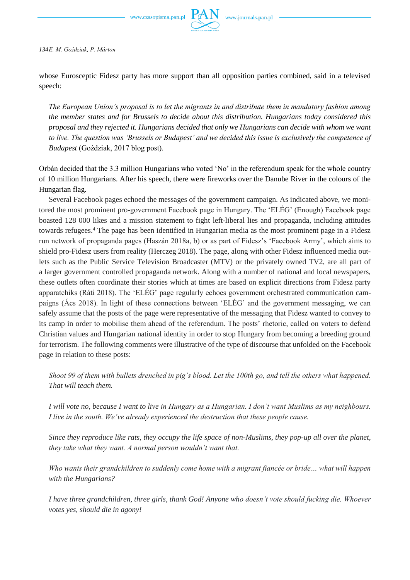

whose Eurosceptic Fidesz party has more support than all opposition parties combined, said in a televised speech:

*The European Union's proposal is to let the migrants in and distribute them in mandatory fashion among the member states and for Brussels to decide about this distribution. Hungarians today considered this proposal and they rejected it. Hungarians decided that only we Hungarians can decide with whom we want to live. The question was 'Brussels or Budapest' and we decided this issue is exclusively the competence of Budapest* (Goździak, 2017 blog post).

Orbán decided that the 3.3 million Hungarians who voted 'No' in the referendum speak for the whole country of 10 million Hungarians. After his speech, there were fireworks over the Danube River in the colours of the Hungarian flag.

Several Facebook pages echoed the messages of the government campaign. As indicated above, we monitored the most prominent pro-government Facebook page in Hungary. The 'ELÉG' (Enough) Facebook page boasted 128 000 likes and a mission statement to fight left-liberal lies and propaganda, including attitudes towards refugees.<sup>4</sup> The page has been identified in Hungarian media as the most prominent page in a Fidesz run network of propaganda pages (Haszán 2018a, b) or as part of Fidesz's 'Facebook Army', which aims to shield pro-Fidesz users from reality (Herczeg 2018). The page, along with other Fidesz influenced media outlets such as the Public Service Television Broadcaster (MTV) or the privately owned TV2, are all part of a larger government controlled propaganda network. Along with a number of national and local newspapers, these outlets often coordinate their stories which at times are based on explicit directions from Fidesz party apparatchiks (Ráti 2018). The 'ELÉG' page regularly echoes government orchestrated communication campaigns (Ács 2018). In light of these connections between 'ELÉG' and the government messaging, we can safely assume that the posts of the page were representative of the messaging that Fidesz wanted to convey to its camp in order to mobilise them ahead of the referendum. The posts' rhetoric, called on voters to defend Christian values and Hungarian national identity in order to stop Hungary from becoming a breeding ground for terrorism. The following comments were illustrative of the type of discourse that unfolded on the Facebook page in relation to these posts:

*Shoot 99 of them with bullets drenched in pig's blood. Let the 100th go, and tell the others what happened. That will teach them.* 

*I will vote no, because I want to live in Hungary as a Hungarian. I don't want Muslims as my neighbours. I live in the south. We've already experienced the destruction that these people cause.*

*Since they reproduce like rats, they occupy the life space of non-Muslims, they pop-up all over the planet, they take what they want. A normal person wouldn't want that.*

*Who wants their grandchildren to suddenly come home with a migrant fiancée or bride… what will happen with the Hungarians?*

*I have three grandchildren, three girls, thank God! Anyone who doesn't vote should fucking die. Whoever votes yes, should die in agony!*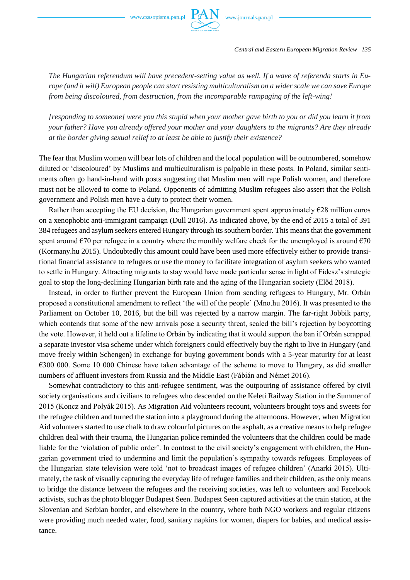*The Hungarian referendum will have precedent-setting value as well. If a wave of referenda starts in Europe (and it will) European people can start resisting multiculturalism on a wider scale we can save Europe from being discoloured, from destruction, from the incomparable rampaging of the left-wing!*

*[responding to someone] were you this stupid when your mother gave birth to you or did you learn it from your father? Have you already offered your mother and your daughters to the migrants? Are they already at the border giving sexual relief to at least be able to justify their existence?*

The fear that Muslim women will bear lots of children and the local population will be outnumbered, somehow diluted or 'discoloured' by Muslims and multiculturalism is palpable in these posts. In Poland, similar sentiments often go hand-in-hand with posts suggesting that Muslim men will rape Polish women, and therefore must not be allowed to come to Poland. Opponents of admitting Muslim refugees also assert that the Polish government and Polish men have a duty to protect their women.

Rather than accepting the EU decision, the Hungarian government spent approximately  $\epsilon$ 28 million euros on a xenophobic anti-immigrant campaign (Dull 2016). As indicated above, by the end of 2015 a total of 391 384 refugees and asylum seekers entered Hungary through its southern border. This means that the government spent around  $\epsilon$ 70 per refugee in a country where the monthly welfare check for the unemployed is around  $\epsilon$ 70 (Kormany.hu 2015). Undoubtedly this amount could have been used more effectively either to provide transitional financial assistance to refugees or use the money to facilitate integration of asylum seekers who wanted to settle in Hungary. Attracting migrants to stay would have made particular sense in light of Fidesz's strategic goal to stop the long-declining Hungarian birth rate and the aging of the Hungarian society (Előd 2018).

Instead, in order to further prevent the European Union from sending refugees to Hungary, Mr. Orbán proposed a constitutional amendment to reflect 'the will of the people' (Mno.hu 2016). It was presented to the Parliament on October 10, 2016, but the bill was rejected by a narrow margin. The far-right Jobbik party, which contends that some of the new arrivals pose a security threat, sealed the bill's rejection by boycotting the vote. However, it held out a lifeline to Orbán by indicating that it would support the ban if Orbán scrapped a separate investor visa scheme under which foreigners could effectively buy the right to live in Hungary (and move freely within Schengen) in exchange for buying government bonds with a 5-year maturity for at least €300 000. Some 10 000 Chinese have taken advantage of the scheme to move to Hungary, as did smaller numbers of affluent investors from Russia and the Middle East (Fábián and Német 2016).

Somewhat contradictory to this anti-refugee sentiment, was the outpouring of assistance offered by civil society organisations and civilians to refugees who descended on the Keleti Railway Station in the Summer of 2015 (Koncz and Polyák 2015). As Migration Aid volunteers recount, volunteers brought toys and sweets for the refugee children and turned the station into a playground during the afternoons. However, when Migration Aid volunteers started to use chalk to draw colourful pictures on the asphalt, as a creative means to help refugee children deal with their trauma, the Hungarian police reminded the volunteers that the children could be made liable for the 'violation of public order'. In contrast to the civil society's engagement with children, the Hungarian government tried to undermine and limit the population's sympathy towards refugees. Employees of the Hungarian state television were told 'not to broadcast images of refugee children' (Anarki 2015). Ultimately, the task of visually capturing the everyday life of refugee families and their children, as the only means to bridge the distance between the refugees and the receiving societies, was left to volunteers and Facebook activists, such as the photo blogger Budapest Seen. Budapest Seen captured activities at the train station, at the Slovenian and Serbian border, and elsewhere in the country, where both NGO workers and regular citizens were providing much needed water, food, sanitary napkins for women, diapers for babies, and medical assistance.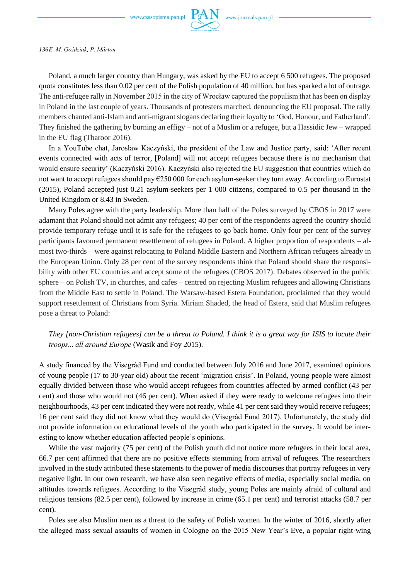www.czasopisma.pan.pl



*136E. M. Goździak, P. Márton*

Poland, a much larger country than Hungary, was asked by the EU to accept 6 500 refugees. The proposed quota constitutes less than 0.02 per cent of the Polish population of 40 million, but has sparked a lot of outrage. The anti-refugee rally in November 2015 in the city of Wrocław captured the populism that has been on display in Poland in the last couple of years. Thousands of protesters marched, denouncing the EU proposal. The rally members chanted anti-Islam and anti-migrant slogans declaring their loyalty to 'God, Honour, and Fatherland'. They finished the gathering by burning an effigy – not of a Muslim or a refugee, but a Hassidic Jew – wrapped in the EU flag (Tharoor 2016).

In a YouTube chat, Jarosław Kaczyński, the president of the Law and Justice party, said: 'After recent events connected with acts of terror, [Poland] will not accept refugees because there is no mechanism that would ensure security' (Kaczyński 2016). Kaczyński also rejected the EU suggestion that countries which do not want to accept refugees should pay  $\epsilon$ 250 000 for each asylum-seeker they turn away. According to Eurostat (2015), Poland accepted just 0.21 asylum-seekers per 1 000 citizens, compared to 0.5 per thousand in the United Kingdom or 8.43 in Sweden.

Many Poles agree with the party leadership. More than half of the Poles surveyed by CBOS in 2017 were adamant that Poland should not admit any refugees; 40 per cent of the respondents agreed the country should provide temporary refuge until it is safe for the refugees to go back home. Only four per cent of the survey participants favoured permanent resettlement of refugees in Poland. A higher proportion of respondents – almost two-thirds – were against relocating to Poland Middle Eastern and Northern African refugees already in the European Union. Only 28 per cent of the survey respondents think that Poland should share the responsibility with other EU countries and accept some of the refugees (CBOS 2017). Debates observed in the public sphere – on Polish TV, in churches, and cafes – centred on rejecting Muslim refugees and allowing Christians from the Middle East to settle in Poland. The Warsaw-based Estera Foundation, proclaimed that they would support resettlement of Christians from Syria. Miriam Shaded, the head of Estera, said that Muslim refugees pose a threat to Poland:

*They [non-Christian refugees] can be a threat to Poland. I think it is a great way for ISIS to locate their troops... all around Europe* (Wasik and Foy 2015).

A study financed by the Visegrád Fund and conducted between July 2016 and June 2017, examined opinions of young people (17 to 30-year old) about the recent 'migration crisis'. In Poland, young people were almost equally divided between those who would accept refugees from countries affected by armed conflict (43 per cent) and those who would not (46 per cent). When asked if they were ready to welcome refugees into their neighbourhoods, 43 per cent indicated they were not ready, while 41 per cent said they would receive refugees; 16 per cent said they did not know what they would do (Visegrád Fund 2017). Unfortunately, the study did not provide information on educational levels of the youth who participated in the survey. It would be interesting to know whether education affected people's opinions.

While the vast majority (75 per cent) of the Polish youth did not notice more refugees in their local area, 66.7 per cent affirmed that there are no positive effects stemming from arrival of refugees. The researchers involved in the study attributed these statements to the power of media discourses that portray refugees in very negative light. In our own research, we have also seen negative effects of media, especially social media, on attitudes towards refugees. According to the Visegrád study, young Poles are mainly afraid of cultural and religious tensions (82.5 per cent), followed by increase in crime (65.1 per cent) and terrorist attacks (58.7 per cent).

Poles see also Muslim men as a threat to the safety of Polish women. In the winter of 2016, shortly after the alleged mass sexual assaults of women in Cologne on the 2015 New Year's Eve, a popular right-wing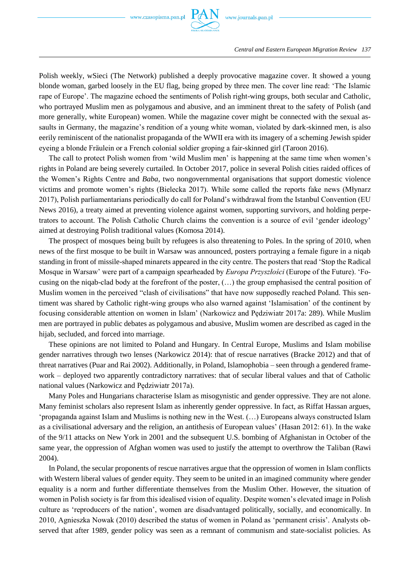

Polish weekly, wSieci (The Network) published a deeply provocative magazine cover. It showed a young blonde woman, garbed loosely in the EU flag, being groped by three men. The cover line read: 'The Islamic rape of Europe'. The magazine echoed the sentiments of Polish right-wing groups, both secular and Catholic, who portrayed Muslim men as polygamous and abusive, and an imminent threat to the safety of Polish (and more generally, white European) women. While the magazine cover might be connected with the sexual assaults in Germany, the magazine's rendition of a young white woman, violated by dark-skinned men, is also eerily reminiscent of the nationalist propaganda of the WWII era with its imagery of a scheming Jewish spider eyeing a blonde Fräulein or a French colonial soldier groping a fair-skinned girl (Taroon 2016).

The call to protect Polish women from 'wild Muslim men' is happening at the same time when women's rights in Poland are being severely curtailed. In October 2017, police in several Polish cities raided offices of the Women's Rights Centre and *Baba*, two nongovernmental organisations that support domestic violence victims and promote women's rights (Bielecka 2017). While some called the reports fake news (Młynarz 2017), Polish parliamentarians periodically do call for Poland's withdrawal from the Istanbul Convention (EU News 2016), a treaty aimed at preventing violence against women, supporting survivors, and holding perpetrators to account. The Polish Catholic Church claims the convention is a source of evil 'gender ideology' aimed at destroying Polish traditional values (Komosa 2014).

The prospect of mosques being built by refugees is also threatening to Poles. In the spring of 2010, when news of the first mosque to be built in Warsaw was announced, posters portraying a female figure in a niqab standing in front of missile-shaped minarets appeared in the city centre. The posters that read 'Stop the Radical Mosque in Warsaw' were part of a campaign spearheaded by *Europa Przyszłości* (Europe of the Future). 'Focusing on the niqab-clad body at the forefront of the poster, (…) the group emphasised the central position of Muslim women in the perceived "clash of civilisations" that have now supposedly reached Poland. This sentiment was shared by Catholic right-wing groups who also warned against 'Islamisation' of the continent by focusing considerable attention on women in Islam' (Narkowicz and Pędziwiatr 2017a: 289). While Muslim men are portrayed in public debates as polygamous and abusive, Muslim women are described as caged in the hijab, secluded, and forced into marriage.

These opinions are not limited to Poland and Hungary. In Central Europe, Muslims and Islam mobilise gender narratives through two lenses (Narkowicz 2014): that of rescue narratives (Bracke 2012) and that of threat narratives (Puar and Rai 2002). Additionally, in Poland, Islamophobia – seen through a gendered framework – deployed two apparently contradictory narratives: that of secular liberal values and that of Catholic national values (Narkowicz and Pędziwiatr 2017a).

Many Poles and Hungarians characterise Islam as misogynistic and gender oppressive. They are not alone. Many feminist scholars also represent Islam as inherently gender oppressive. In fact, as Riffat Hassan argues, 'propaganda against Islam and Muslims is nothing new in the West. (…) Europeans always constructed Islam as a civilisational adversary and the religion, an antithesis of European values' (Hasan 2012: 61). In the wake of the 9/11 attacks on New York in 2001 and the subsequent U.S. bombing of Afghanistan in October of the same year, the oppression of Afghan women was used to justify the attempt to overthrow the Taliban (Rawi 2004).

In Poland, the secular proponents of rescue narratives argue that the oppression of women in Islam conflicts with Western liberal values of gender equity. They seem to be united in an imagined community where gender equality is a norm and further differentiate themselves from the Muslim Other. However, the situation of women in Polish society is far from this idealised vision of equality. Despite women's elevated image in Polish culture as 'reproducers of the nation', women are disadvantaged politically, socially, and economically. In 2010, Agnieszka Nowak (2010) described the status of women in Poland as 'permanent crisis'. Analysts observed that after 1989, gender policy was seen as a remnant of communism and state-socialist policies. As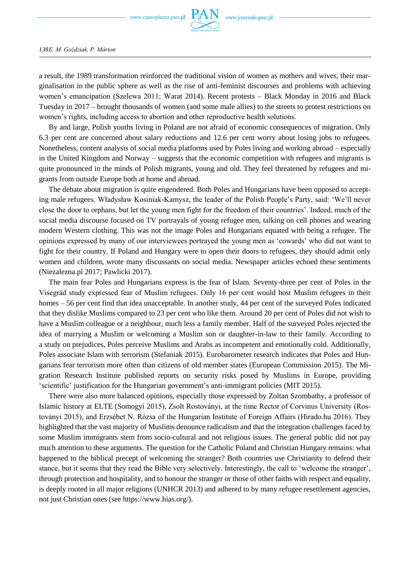www.czasopisma.pan.pl



a result, the 1989 transformation reinforced the traditional vision of women as mothers and wives, their marginalisation in the public sphere as well as the rise of anti-feminist discourses and problems with achieving women's emancipation (Szelewa 2011; Warat 2014). Recent protests – Black Monday in 2016 and Black Tuesday in 2017 – brought thousands of women (and some male allies) to the streets to protest restrictions on women's rights, including access to abortion and other reproductive health solutions.

By and large, Polish youths living in Poland are not afraid of economic consequences of migration. Only 6.3 per cent are concerned about salary reductions and 12.6 per cent worry about losing jobs to refugees. Nonetheless, content analysis of social media platforms used by Poles living and working abroad – especially in the United Kingdom and Norway – suggests that the economic competition with refugees and migrants is quite pronounced in the minds of Polish migrants, young and old. They feel threatened by refugees and migrants from outside Europe both at home and abroad.

The debate about migration is quite engendered. Both Poles and Hungarians have been opposed to accepting male refugees. Władysław Kosiniak-Kamysz, the leader of the Polish People's Party, said: 'We'll never close the door to orphans, but let the young men fight for the freedom of their countries'. Indeed, much of the social media discourse focused on TV portrayals of young refugee men, talking on cell phones and wearing modern Western clothing. This was not the image Poles and Hungarians equated with being a refugee. The opinions expressed by many of our interviewees portrayed the young men as 'cowards' who did not want to fight for their country. If Poland and Hungary were to open their doors to refugees, they should admit only women and children, wrote many discussants on social media. Newspaper articles echoed these sentiments (Niezalezna.pl 2017; Pawlicki 2017).

The main fear Poles and Hungarians express is the fear of Islam. Seventy-three per cent of Poles in the Visegrád study expressed fear of Muslim refugees. Only 16 per cent would host Muslim refugees in their homes – 56 per cent find that idea unacceptable. In another study, 44 per cent of the surveyed Poles indicated that they dislike Muslims compared to 23 per cent who like them. Around 20 per cent of Poles did not wish to have a Muslim colleague or a neighbour, much less a family member. Half of the surveyed Poles rejected the idea of marrying a Muslim or welcoming a Muslim son or daughter-in-law to their family. According to a study on prejudices, Poles perceive Muslims and Arabs as incompetent and emotionally cold. Additionally, Poles associate Islam with terrorism (Stefaniak 2015). Eurobarometer research indicates that Poles and Hungarians fear terrorism more often than citizens of old member states (European Commission 2015). The Migration Research Institute published reports on security risks posed by Muslims in Europe, providing 'scientific' justification for the Hungarian government's anti-immigrant policies (MIT 2015).

There were also more balanced opinions, especially those expressed by Zoltan Szombathy, a professor of Islamic history at ELTE (Somogyi 2015), Zsolt Rostoványi, at the time Rector of Corvinus University (Rostoványi 2015), and Erzsébet N. Rózsa of the Hungarian Institute of Foreign Affairs (Hirado.hu 2016). They highlighted that the vast majority of Muslims denounce radicalism and that the integration challenges faced by some Muslim immigrants stem from socio-cultural and not religious issues. The general public did not pay much attention to these arguments. The question for the Catholic Poland and Christian Hungary remains: what happened to the biblical precept of welcoming the stranger? Both countries use Christianity to defend their stance, but it seems that they read the Bible very selectively. Interestingly, the call to 'welcome the stranger', through protection and hospitality, and to honour the stranger or those of other faiths with respect and equality, is deeply rooted in all major religions (UNHCR 2013) and adhered to by many refugee resettlement agencies, not just Christian ones (see https://www.hias.org/).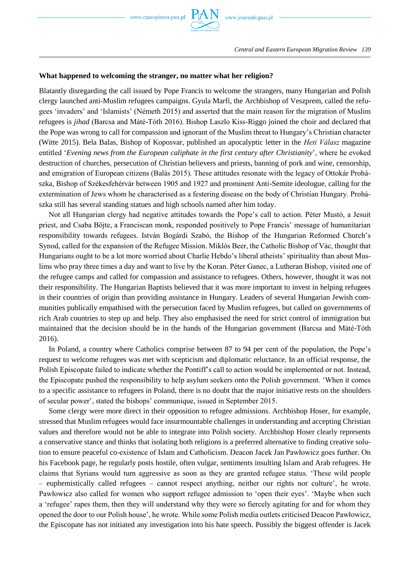

#### **What happened to welcoming the stranger, no matter what her religion?**

Blatantly disregarding the call issued by Pope Francis to welcome the strangers, many Hungarian and Polish clergy launched anti-Muslim refugees campaigns. Gyula Marfi, the Archbishop of Veszprem, called the refugees 'invaders' and 'Islamists' (Németh 2015) and asserted that the main reason for the migration of Muslim refugees is *jihad* (Barcsa and Máté-Tóth 2016). Bishop Laszlo Kiss-Riggo joined the choir and declared that the Pope was wrong to call for compassion and ignorant of the Muslim threat to Hungary's Christian character (Witte 2015). Bela Balas, Bishop of Koposvar, published an apocalyptic letter in the *Heti Válasz* magazine entitled '*Evening news from the European caliphate in the first century after Christianity*', where he evoked destruction of churches, persecution of Christian believers and priests, banning of pork and wine, censorship, and emigration of European citizens (Balás 2015). These attitudes resonate with the legacy of Ottokár Prohászka, Bishop of Székesfehérvár between 1905 and 1927 and prominent Anti-Semite ideologue, calling for the extermination of Jews whom he characterised as a festering disease on the body of Christian Hungary. Prohászka still has several standing statues and high schools named after him today.

Not all Hungarian clergy had negative attitudes towards the Pope's call to action. Péter Mustó, a Jesuit priest, and Csaba Böjte, a Franciscan monk, responded positively to Pope Francis' message of humanitarian responsibility towards refugees. István Bogárdi Szabó, the Bishop of the Hungarian Reformed Church's Synod, called for the expansion of the Refugee Mission. Miklós Beer, the Catholic Bishop of Vác, thought that Hungarians ought to be a lot more worried about Charlie Hebdo's liberal atheists' spirituality than about Muslims who pray three times a day and want to live by the Koran. Péter Ganec, a Lutheran Bishop, visited one of the refugee camps and called for compassion and assistance to refugees. Others, however, thought it was not their responsibility. The Hungarian Baptists believed that it was more important to invest in helping refugees in their countries of origin than providing assistance in Hungary. Leaders of several Hungarian Jewish communities publically empathised with the persecution faced by Muslim refugees, but called on governments of rich Arab countries to step up and help. They also emphasised the need for strict control of immigration but maintained that the decision should be in the hands of the Hungarian government (Barcsa and Máté-Tóth 2016).

In Poland, a country where Catholics comprise between 87 to 94 per cent of the population, the Pope's request to welcome refugees was met with scepticism and diplomatic reluctance. In an official response, the Polish Episcopate failed to indicate whether the Pontiff's call to action would be implemented or not. Instead, the Episcopate pushed the responsibility to help asylum seekers onto the Polish government. 'When it comes to a specific assistance to refugees in Poland, there is no doubt that the major initiative rests on the shoulders of secular power', stated the bishops' communique, issued in September 2015.

Some clergy were more direct in their opposition to refugee admissions. Archbishop Hoser, for example, stressed that Muslim refugees would face insurmountable challenges in understanding and accepting Christian values and therefore would not be able to integrate into Polish society. Archbishop Hoser clearly represents a conservative stance and thinks that isolating both religions is a preferred alternative to finding creative solution to ensure peaceful co-existence of Islam and Catholicism. Deacon Jacek Jan Pawłowicz goes further. On his Facebook page, he regularly posts hostile, often vulgar, sentiments insulting Islam and Arab refugees. He claims that Syrians would turn aggressive as soon as they are granted refugee status. 'These wild people – euphemistically called refugees – cannot respect anything, neither our rights nor culture', he wrote. Pawłowicz also called for women who support refugee admission to 'open their eyes'. 'Maybe when such a 'refugee' rapes them, then they will understand why they were so fiercely agitating for and for whom they opened the door to our Polish house', he wrote. While some Polish media outlets criticised Deacon Pawłowicz, the Episcopate has not initiated any investigation into his hate speech. Possibly the biggest offender is Jacek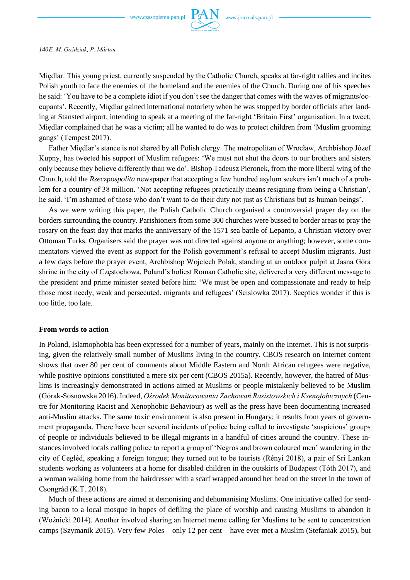

Międlar. This young priest, currently suspended by the Catholic Church, speaks at far-right rallies and incites Polish youth to face the enemies of the homeland and the enemies of the Church. During one of his speeches he said: 'You have to be a complete idiot if you don't see the danger that comes with the waves of migrants/occupants'. Recently, Międlar gained international notoriety when he was stopped by border officials after landing at Stansted airport, intending to speak at a meeting of the far-right 'Britain First' organisation. In a tweet, Międlar complained that he was a victim; all he wanted to do was to protect children from 'Muslim grooming gangs' (Tempest 2017).

Father Międlar's stance is not shared by all Polish clergy. The metropolitan of Wrocław, Archbishop Józef Kupny, has tweeted his support of Muslim refugees: 'We must not shut the doors to our brothers and sisters only because they believe differently than we do'. Bishop Tadeusz Pieronek, from the more liberal wing of the Church, told the *Rzeczpospolita* newspaper that accepting a few hundred asylum seekers isn't much of a problem for a country of 38 million. 'Not accepting refugees practically means resigning from being a Christian', he said. 'I'm ashamed of those who don't want to do their duty not just as Christians but as human beings'.

As we were writing this paper, the Polish Catholic Church organised a controversial prayer day on the borders surrounding the country. Parishioners from some 300 churches were bussed to border areas to pray the rosary on the feast day that marks the anniversary of the 1571 sea battle of Lepanto, a Christian victory over Ottoman Turks. Organisers said the prayer was not directed against anyone or anything; however, some commentators viewed the event as support for the Polish government's refusal to accept Muslim migrants. Just a few days before the prayer event, Archbishop Wojciech Polak, standing at an outdoor pulpit at Jasna Góra shrine in the city of Częstochowa, Poland's holiest Roman Catholic site, delivered a very different message to the president and prime minister seated before him: 'We must be open and compassionate and ready to help those most needy, weak and persecuted, migrants and refugees' (Scislowka 2017). Sceptics wonder if this is too little, too late.

## **From words to action**

In Poland, Islamophobia has been expressed for a number of years, mainly on the Internet. This is not surprising, given the relatively small number of Muslims living in the country. CBOS research on Internet content shows that over 80 per cent of comments about Middle Eastern and North African refugees were negative, while positive opinions constituted a mere six per cent (CBOS 2015a). Recently, however, the hatred of Muslims is increasingly demonstrated in actions aimed at Muslims or people mistakenly believed to be Muslim (Górak-Sosnowska 2016). Indeed, *Ośrodek Monitorowania Zachowań Rasistowskich i Ksenofobicznych* (Centre for Monitoring Racist and Xenophobic Behaviour) as well as the press have been documenting increased anti-Muslim attacks. The same toxic environment is also present in Hungary; it results from years of government propaganda. There have been several incidents of police being called to investigate 'suspicious' groups of people or individuals believed to be illegal migrants in a handful of cities around the country. These instances involved locals calling police to report a group of 'Negros and brown coloured men' wandering in the city of Cegléd, speaking a foreign tongue; they turned out to be tourists (Rényi 2018), a pair of Sri Lankan students working as volunteers at a home for disabled children in the outskirts of Budapest (Tóth 2017), and a woman walking home from the hairdresser with a scarf wrapped around her head on the street in the town of Csongrád (K.T. 2018).

Much of these actions are aimed at demonising and dehumanising Muslims. One initiative called for sending bacon to a local mosque in hopes of defiling the place of worship and causing Muslims to abandon it (Woźnicki 2014). Another involved sharing an Internet meme calling for Muslims to be sent to concentration camps (Szymanik 2015). Very few Poles – only 12 per cent – have ever met a Muslim (Stefaniak 2015), but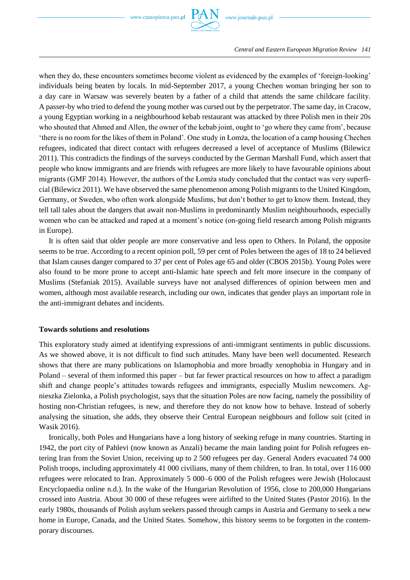

when they do, these encounters sometimes become violent as evidenced by the examples of 'foreign-looking' individuals being beaten by locals. In mid-September 2017, a young Chechen woman bringing her son to a day care in Warsaw was severely beaten by a father of a child that attends the same childcare facility. A passer-by who tried to defend the young mother was cursed out by the perpetrator. The same day, in Cracow, a young Egyptian working in a neighbourhood kebab restaurant was attacked by three Polish men in their 20s who shouted that Ahmed and Allen, the owner of the kebab joint, ought to 'go where they came from', because 'there is no room for the likes of them in Poland'. One study in Łomża, the location of a camp housing Chechen refugees, indicated that direct contact with refugees decreased a level of acceptance of Muslims (Bilewicz 2011). This contradicts the findings of the surveys conducted by the German Marshall Fund, which assert that people who know immigrants and are friends with refugees are more likely to have favourable opinions about migrants (GMF 2014). However, the authors of the Łomża study concluded that the contact was very superficial (Bilewicz 2011). We have observed the same phenomenon among Polish migrants to the United Kingdom, Germany, or Sweden, who often work alongside Muslims, but don't bother to get to know them. Instead, they tell tall tales about the dangers that await non-Muslims in predominantly Muslim neighbourhoods, especially women who can be attacked and raped at a moment's notice (on-going field research among Polish migrants in Europe).

It is often said that older people are more conservative and less open to Others. In Poland, the opposite seems to be true. According to a recent opinion poll, 59 per cent of Poles between the ages of 18 to 24 believed that Islam causes danger compared to 37 per cent of Poles age 65 and older (CBOS 2015b). Young Poles were also found to be more prone to accept anti-Islamic hate speech and felt more insecure in the company of Muslims (Stefaniak 2015). Available surveys have not analysed differences of opinion between men and women, although most available research, including our own, indicates that gender plays an important role in the anti-immigrant debates and incidents.

## **Towards solutions and resolutions**

This exploratory study aimed at identifying expressions of anti-immigrant sentiments in public discussions. As we showed above, it is not difficult to find such attitudes. Many have been well documented. Research shows that there are many publications on Islamophobia and more broadly xenophobia in Hungary and in Poland – several of them informed this paper – but far fewer practical resources on how to affect a paradigm shift and change people's attitudes towards refugees and immigrants, especially Muslim newcomers. Agnieszka Zielonka, a Polish psychologist, says that the situation Poles are now facing, namely the possibility of hosting non-Christian refugees, is new, and therefore they do not know how to behave. Instead of soberly analysing the situation, she adds, they observe their Central European neighbours and follow suit (cited in Wasik 2016).

Ironically, both Poles and Hungarians have a long history of seeking refuge in many countries. Starting in 1942, the port city of Pahlevi (now known as Anzali) became the main landing point for Polish refugees entering Iran from the Soviet Union, receiving up to 2 500 refugees per day. General Anders evacuated 74 000 Polish troops, including approximately 41 000 civilians, many of them children, to Iran. In total, over 116 000 refugees were relocated to Iran. Approximately 5 000–6 000 of the Polish refugees were Jewish (Holocaust Encyclopaedia online n.d.). In the wake of the Hungarian Revolution of 1956, close to 200,000 Hungarians crossed into Austria. About 30 000 of these refugees were airlifted to the United States (Pastor 2016). In the early 1980s, thousands of Polish asylum seekers passed through camps in Austria and Germany to seek a new home in Europe, Canada, and the United States. Somehow, this history seems to be forgotten in the contemporary discourses.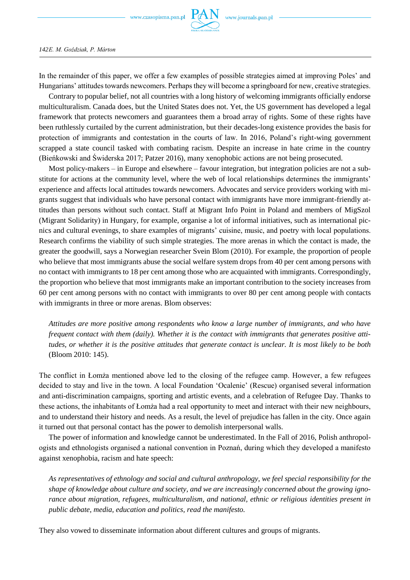

In the remainder of this paper, we offer a few examples of possible strategies aimed at improving Poles' and Hungarians' attitudes towards newcomers. Perhaps they will become a springboard for new, creative strategies.

Contrary to popular belief, not all countries with a long history of welcoming immigrants officially endorse multiculturalism. Canada does, but the United States does not. Yet, the US government has developed a legal framework that protects newcomers and guarantees them a broad array of rights. Some of these rights have been ruthlessly curtailed by the current administration, but their decades-long existence provides the basis for protection of immigrants and contestation in the courts of law. In 2016, Poland's right-wing government scrapped a state council tasked with combating racism. Despite an increase in hate crime in the country (Bieńkowski and Świderska 2017; Patzer 2016), many xenophobic actions are not being prosecuted.

Most policy-makers – in Europe and elsewhere – favour integration, but integration policies are not a substitute for actions at the community level, where the web of local relationships determines the immigrants' experience and affects local attitudes towards newcomers. Advocates and service providers working with migrants suggest that individuals who have personal contact with immigrants have more immigrant-friendly attitudes than persons without such contact. Staff at Migrant Info Point in Poland and members of MigSzol (Migrant Solidarity) in Hungary, for example, organise a lot of informal initiatives, such as international picnics and cultural evenings, to share examples of migrants' cuisine, music, and poetry with local populations. Research confirms the viability of such simple strategies. The more arenas in which the contact is made, the greater the goodwill, says a Norwegian researcher Svein Blom (2010). For example, the proportion of people who believe that most immigrants abuse the social welfare system drops from 40 per cent among persons with no contact with immigrants to 18 per cent among those who are acquainted with immigrants. Correspondingly, the proportion who believe that most immigrants make an important contribution to the society increases from 60 per cent among persons with no contact with immigrants to over 80 per cent among people with contacts with immigrants in three or more arenas. Blom observes:

*Attitudes are more positive among respondents who know a large number of immigrants, and who have frequent contact with them (daily). Whether it is the contact with immigrants that generates positive attitudes, or whether it is the positive attitudes that generate contact is unclear. It is most likely to be both*  (Bloom 2010: 145).

The conflict in Łomża mentioned above led to the closing of the refugee camp. However, a few refugees decided to stay and live in the town. A local Foundation 'Ocalenie' (Rescue) organised several information and anti-discrimination campaigns, sporting and artistic events, and a celebration of Refugee Day. Thanks to these actions, the inhabitants of Łomża had a real opportunity to meet and interact with their new neighbours, and to understand their history and needs. As a result, the level of prejudice has fallen in the city. Once again it turned out that personal contact has the power to demolish interpersonal walls.

The power of information and knowledge cannot be underestimated. In the Fall of 2016, Polish anthropologists and ethnologists organised a national convention in Poznań, during which they developed a manifesto against xenophobia, racism and hate speech:

*As representatives of ethnology and social and cultural anthropology, we feel special responsibility for the shape of knowledge about culture and society, and we are increasingly concerned about the growing ignorance about migration, refugees, multiculturalism, and national, ethnic or religious identities present in public debate, media, education and politics, read the manifesto.*

They also vowed to disseminate information about different cultures and groups of migrants.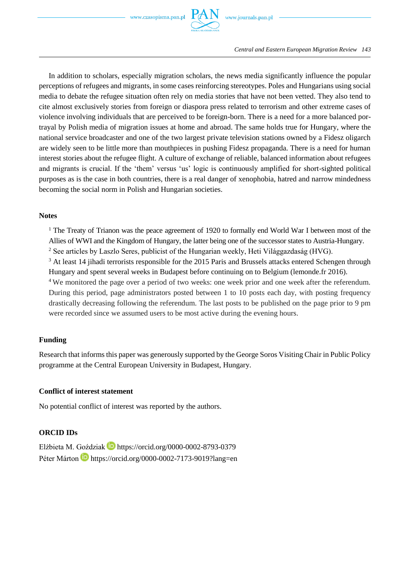

In addition to scholars, especially migration scholars, the news media significantly influence the popular perceptions of refugees and migrants, in some cases reinforcing stereotypes. Poles and Hungarians using social media to debate the refugee situation often rely on media stories that have not been vetted. They also tend to cite almost exclusively stories from foreign or diaspora press related to terrorism and other extreme cases of violence involving individuals that are perceived to be foreign-born. There is a need for a more balanced portrayal by Polish media of migration issues at home and abroad. The same holds true for Hungary, where the national service broadcaster and one of the two largest private television stations owned by a Fidesz oligarch are widely seen to be little more than mouthpieces in pushing Fidesz propaganda. There is a need for human interest stories about the refugee flight. A culture of exchange of reliable, balanced information about refugees and migrants is crucial. If the 'them' versus 'us' logic is continuously amplified for short-sighted political purposes as is the case in both countries, there is a real danger of xenophobia, hatred and narrow mindedness becoming the social norm in Polish and Hungarian societies.

## **Notes**

<sup>1</sup> The Treaty of Trianon was the peace agreement of 1920 to formally end World War I between most of the Allies of WWI and the Kingdom of Hungary, the latter being one of the successor states to Austria-Hungary.

<sup>2</sup> See articles by Laszlo Seres, publicist of the Hungarian weekly, Heti Világgazdaság (HVG).

<sup>3</sup> At least 14 jihadi terrorists responsible for the 2015 Paris and Brussels attacks entered Schengen through Hungary and spent several weeks in Budapest before continuing on to Belgium (lemonde.fr 2016).

<sup>4</sup>We monitored the page over a period of two weeks: one week prior and one week after the referendum. During this period, page administrators posted between 1 to 10 posts each day, with posting frequency drastically decreasing following the referendum. The last posts to be published on the page prior to 9 pm were recorded since we assumed users to be most active during the evening hours.

## **Funding**

Research that informs this paper was generously supported by the George Soros Visiting Chair in Public Policy programme at the Central European University in Budapest, Hungary.

## **Conflict of interest statement**

No potential conflict of interest was reported by the authors.

## **ORCID IDs**

Elżbieta M. Goździak **https://orcid.org/0000-0002-8793-0379** Péter Márton **b** https://orcid.org/0000-0002-7173-9019?lang=en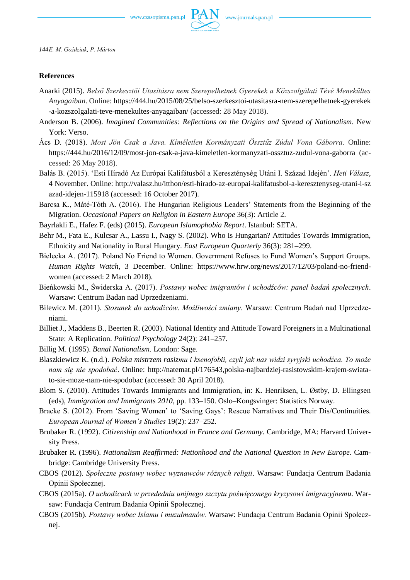

## **References**

- Anarki (2015). *Belső Szerkesztői Utasításra nem Szerepelhetnek Gyerekek a Közszolgálati Tévé Menekültes Anyagaiban*. Online: https://444.hu/2015/08/25/belso-szerkesztoi-utasitasra-nem-szerepelhetnek-gyerekek -a-kozszolgalati-teve-menekultes-anyagaiban/ (accessed: 28 May 2018).
- Anderson B. (2006). *Imagined Communities: Reflections on the Origins and Spread of Nationalism*. New York: Verso.
- Ács D. (2018). *Most Jön Csak a Java. Kíméletlen Kormányzati Össztűz Zúdul Vona Gáborra*. Online: https://444.hu/2016/12/09/most-jon-csak-a-java-kimeletlen-kormanyzati-ossztuz-zudul-vona-gaborra (accessed: 26 May 2018).
- Balás B. (2015). 'Esti Híradó Az Európai Kalifátusból a Kereszténység Utáni I. Század Idején'. *Heti Válasz*, 4 November. Online: http://valasz.hu/itthon/esti-hirado-az-europai-kalifatusbol-a-keresztenyseg-utani-i-sz azad-idejen-115918 (accessed: 16 October 2017).
- Barcsa K., Máté-Tóth A. (2016). The Hungarian Religious Leaders' Statements from the Beginning of the Migration. *Occasional Papers on Religion in Eastern Europe* 36(3): Article 2.
- Bayrlakli E., Hafez F. (eds) (2015). *European Islamophobia Report*. Istanbul: SETA.
- Behr M., Fata E., Kulcsar A., Lassu I., Nagy S. (2002). Who Is Hungarian? Attitudes Towards Immigration, Ethnicity and Nationality in Rural Hungary. *East European Quarterly* 36(3): 281–299.
- Bielecka A. (2017). Poland No Friend to Women. Government Refuses to Fund Women's Support Groups. *Human Rights Watch*, 3 December. Online: https://www.hrw.org/news/2017/12/03/poland-no-friendwomen (accessed: 2 March 2018).
- Bieńkowski M., Świderska A. (2017). *Postawy wobec imigrantów i uchodźców: panel badań społecznych*. Warsaw: Centrum Badan nad Uprzedzeniami.
- Bilewicz M. (2011). *Stosunek do uchodźców. Możliwości zmiany*. Warsaw: Centrum Badań nad Uprzedzeniami.
- Billiet J., Maddens B., Beerten R. (2003). National Identity and Attitude Toward Foreigners in a Multinational State: A Replication. *Political Psychology* 24(2): 241–257.
- Billig M. (1995). *Banal Nationalism*. London: Sage.
- Blaszkiewicz K. (n.d.). *Polska mistrzem rasizmu i ksenofobii, czyli jak nas widzi syryjski uchodźca. To może nam się nie spodobać*. Online: http://natemat.pl/176543,polska-najbardziej-rasistowskim-krajem-swiatato-sie-moze-nam-nie-spodobac (accessed: 30 April 2018).
- Blom S. (2010). Attitudes Towards Immigrants and Immigration, in: K. Henriksen, L. Østby, D. Ellingsen (eds), *Immigration and Immigrants 2010*, pp. 133–150. Oslo–Kongsvinger: Statistics Norway.
- Bracke S. (2012). From 'Saving Women' to 'Saving Gays': Rescue Narratives and Their Dis/Continuities. *European Journal of Women's Studies* 19(2): 237–252.
- Brubaker R. (1992). *Citizenship and Nationhood in France and Germany.* Cambridge, MA: Harvard University Press.
- Brubaker R. (1996). *Nationalism Reaffirmed: Nationhood and the National Question in New Europe*. Cambridge: Cambridge University Press.
- CBOS (2012). *Społeczne postawy wobec wyznawców różnych religii*. Warsaw: Fundacja Centrum Badania Opinii Społecznej.
- CBOS (2015a). *O uchodźcach w przededniu unijnego szczytu poświęconego kryzysowi imigracyjnemu*. Warsaw: Fundacja Centrum Badania Opinii Społecznej.
- CBOS (2015b). *Postawy wobec Islamu i muzułmanów.* Warsaw: Fundacja Centrum Badania Opinii Społecznej.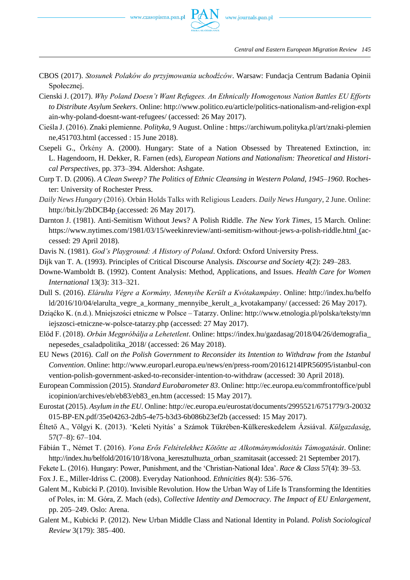

- CBOS (2017). *Stosunek Polaków do przyjmowania uchodźców*. Warsaw: Fundacja Centrum Badania Opinii Społecznej.
- Cienski J. (2017). *Why Poland Doesn't Want Refugees. An Ethnically Homogenous Nation Battles EU Efforts to Distribute Asylum Seekers*. Online: http://www.politico.eu/article/politics-nationalism-and-religion-expl ain-why-poland-doesnt-want-refugees/ (accessed: 26 May 2017).
- Cieśla J. (2016). Znaki plemienne. *Polityka*, 9 August. Online : https://archiwum.polityka.pl/art/znaki-plemien ne,451703.html (accessed : 15 June 2018).
- Csepeli G., Örkény A. (2000). Hungary: State of a Nation Obsessed by Threatened Extinction, in: L. Hagendoorn, H. Dekker, R. Farnen (eds), *European Nations and Nationalism: Theoretical and Historical Perspectives*, pp. 373–394. Aldershot: Ashgate.
- Curp T. D. (2006). *A Clean Sweep? The Politics of Ethnic Cleansing in Western Poland, 1945–1960*. Rochester: University of Rochester Press.
- *Daily News Hungary* (2016). Orbán Holds Talks with Religious Leaders. *Daily News Hungary*, 2 June. Online: http://bit.ly/2bDCB4p (accessed: 26 May 2017).
- Darnton J. (1981). Anti-Semitism Without Jews? A Polish Riddle. *The New York Times*, 15 March. Online: https://www.nytimes.com/1981/03/15/weekinreview/anti-semitism-without-jews-a-polish-riddle.html (accessed: 29 April 2018).
- Davis N. (1981). *God's Playground: A History of Poland*. Oxford: Oxford University Press.
- Dijk van T. A. (1993). Principles of Critical Discourse Analysis. *Discourse and Society* 4(2): 249–283.
- Downe‐Wamboldt B. (1992). Content Analysis: Method, Applications, and Issues. *Health Care for Women International* 13(3): 313–321.
- Dull S. (2016). *Elárulta Végre a Kormány, Mennyibe Került a Kvótakampány*. Online: http://index.hu/belfo ld/2016/10/04/elarulta\_vegre\_a\_kormany\_mennyibe\_kerult\_a\_kvotakampany/ (accessed: 26 May 2017).
- Dziąćko K. (n.d.). Mniejszości etniczne w Polsce Tatarzy. Online: http://www.etnologia.pl/polska/teksty/mn iejszosci-etniczne-w-polsce-tatarzy.php (accessed: 27 May 2017).
- Előd F. (2018). *Orbán Megpróbálja a Lehetetlent*. Online: https://index.hu/gazdasag/2018/04/26/demografia\_ nepesedes\_csaladpolitika\_2018/ (accessed: 26 May 2018).
- EU News (2016). *Call on the Polish Government to Reconsider its Intention to Withdraw from the Istanbul Convention*. Online: http://www.europarl.europa.eu/news/en/press-room/20161214IPR56095/istanbul-con vention-polish-government-asked-to-reconsider-intention-to-withdraw (accessed: 30 April 2018).
- European Commission (2015). *Standard Eurobarometer 83*. Online: http://ec.europa.eu/commfrontoffice/publ icopinion/archives/eb/eb83/eb83\_en.htm (accessed: 15 May 2017).
- Eurostat (2015). *Asylum in the EU*. Online: http://ec.europa.eu/eurostat/documents/2995521/6751779/3-20032 015-BP-EN.pdf/35e04263-2db5-4e75-b3d3-6b086b23ef2b (accessed: 15 May 2017).
- Éltető A., Völgyi K. (2013). 'Keleti Nyitás' a Számok Tükrében-Külkereskedelem Ázsiával. *Külgazdaság*, 57(7–8): 67–104.
- Fábián T., Német T. (2016). *Vona Erős Feltételekhez Kötötte az Alkotmánymódositás Támogatását*. Online: http://index.hu/belfold/2016/10/18/vona\_keresztulhuzta\_orban\_szamitasait (accessed: 21 September 2017).

Fekete L. (2016). Hungary: Power, Punishment, and the 'Christian-National Idea'. *Race & Class* 57(4): 39–53.

- Fox J. E., Miller-Idriss C. (2008). Everyday Nationhood. *Ethnicities* 8(4): 536–576.
- Galent M., Kubicki P. (2010). Invisible Revolution. How the Urban Way of Life Is Transforming the Identities of Poles, in: M. Góra, Z. Mach (eds), *Collective Identity and Democracy. The Impact of EU Enlargement,*  pp. 205–249. Oslo: Arena.
- Galent M., Kubicki P. (2012). New Urban Middle Class and National Identity in Poland. *Polish Sociological Review* 3(179): 385–400.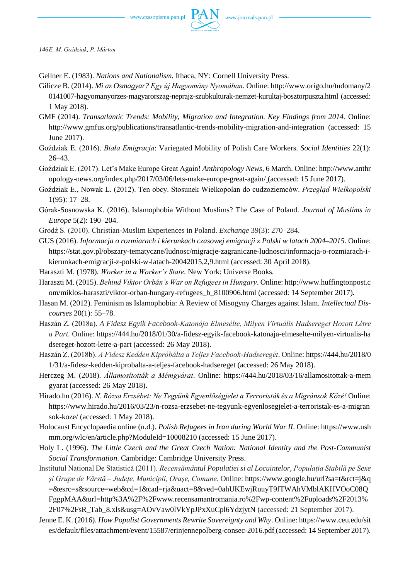

*146E. M. Goździak, P. Márton*

- Gellner E. (1983). *Nations and Nationalism.* Ithaca, NY: Cornell University Press.
- Gilicze B. (2014). *Mi az Osmagyar? Egy új Hagyomány Nyomában*. Online: http://www.origo.hu/tudomany/2 0141007-hagyomanyorzes-magyarorszag-neprajz-szubkulturak-nemzet-kurultaj-bosztorpuszta.html (accessed: 1 May 2018).
- GMF (2014). *Transatlantic Trends: Mobility, Migration and Integration. Key Findings from 2014*. Online: http://www.gmfus.org/publications/transatlantic-trends-mobility-migration-and-integration (accessed: 15 June 2017).
- Goździak E. (2016). *Biała Emigracja*: Variegated Mobility of Polish Care Workers. *Social Identities* 22(1): 26–43.
- Goździak E. (2017). Let's Make Europe Great Again! *Anthropology News*, 6 March. Online: http://www.anthr opology-news.org/index.php/2017/03/06/lets-make-europe-great-again/ (accessed: 15 June 2017).
- Goździak E., Nowak L. (2012). Ten obcy. Stosunek Wielkopolan do cudzoziemców. *Przegląd Wielkopolski* 1(95): 17–28.
- Górak-Sosnowska K. (2016). Islamophobia Without Muslims? The Case of Poland. *Journal of Muslims in Europe* 5(2): 190–204.
- Grodź S. (2010). Christian-Muslim Experiences in Poland. *Exchange* 39(3): 270–284.
- GUS (2016). *Informacja o rozmiarach i kierunkach czasowej emigracji z Polski w latach 2004–2015*. Online: https://stat.gov.pl/obszary-tematyczne/ludnosc/migracje-zagraniczne-ludnosci/informacja-o-rozmiarach-ikierunkach-emigracji-z-polski-w-latach-20042015,2,9.html (accessed: 30 April 2018).
- Haraszti M. (1978). *Worker in a Worker's State*. New York: Universe Books.
- Haraszti M. (2015). *Behind Viktor Orbán's War on Refugees in Hungary*. Online: http://www.huffingtonpost.c om/miklos-haraszti/viktor-orban-hungary-refugees\_b\_8100906.html (accessed: 14 September 2017).
- Hasan M. (2012). Feminism as Islamophobia: A Review of Misogyny Charges against Islam. *Intellectual Discourses* 20(1): 55–78.
- Haszán Z. (2018a). *A Fidesz Egyik Facebook-Katonája Elmesélte, Milyen Virtuális Hadsereget Hozott Létre a Part*. Online: https://444.hu/2018/01/30/a-fidesz-egyik-facebook-katonaja-elmeselte-milyen-virtualis-ha dsereget-hozott-letre-a-part (accessed: 26 May 2018).
- Haszán Z. (2018b). *A Fidesz Kedden Kipróbálta a Teljes Facebook-Hadseregét*. Online: https://444.hu/2018/0 1/31/a-fidesz-kedden-kiprobalta-a-teljes-facebook-hadsereget (accessed: 26 May 2018).
- Herczeg M. (2018). *Államosították a Mémgyárat*. Online: https://444.hu/2018/03/16/allamositottak-a-mem gyarat (accessed: 26 May 2018).
- Hirado.hu (2016). *N. Rózsa Erzsébet: Ne Tegyünk Egyenlőségjelet a Terroristák és a Migránsok Közé!* Online: https://www.hirado.hu/2016/03/23/n-rozsa-erzsebet-ne-tegyunk-egyenlosegjelet-a-terroristak-es-a-migran sok-koze/ (accessed: 1 May 2018).
- Holocaust Encyclopaedia online (n.d.). *Polish Refugees in Iran during World War II*. Online: https://www.ush mm.org/wlc/en/article.php?ModuleId=10008210 (accessed: 15 June 2017).
- Holy L. (1996). *The Little Czech and the Great Czech Nation: National Identity and the Post-Communist Social Transformation*. Cambridge: Cambridge University Press.
- Institutul National De Statistică (2011). *Recensă[mân](https://en.wikipedia.org/wiki/%C3%82)tul Populatiei si al Locuintelor, [Populația Stabilă pe Sexe](http://www.recensamantromania.ro/wp-content/uploads/2013/07/sR_Tab_31.xls)  și Grupe de Vârstă – [Județe, Municipii, Orașe, Comune](http://www.recensamantromania.ro/wp-content/uploads/2013/07/sR_Tab_31.xls)*. Online: https://www.google.hu/url?sa=t&rct=j&q =&esrc=s&source=web&cd=1&cad=rja&uact=8&ved=0ahUKEwjRuuyT9fTWAhVMblAKHVOoC08Q FggpMAA&url=http%3A%2F%2Fwww.recensamantromania.ro%2Fwp-content%2Fuploads%2F2013% 2F07%2FsR\_Tab\_8.xls&usg=AOvVaw0lVkYpJPxXuCpl6YdzjytN (accessed: 21 September 2017).
- Jenne E. K. (2016). *How Populist Governments Rewrite Sovereignty and Why*. Online: https://www.ceu.edu/sit es/default/files/attachment/event/15587/erinjennepolberg-consec-2016.pdf (accessed: 14 September 2017).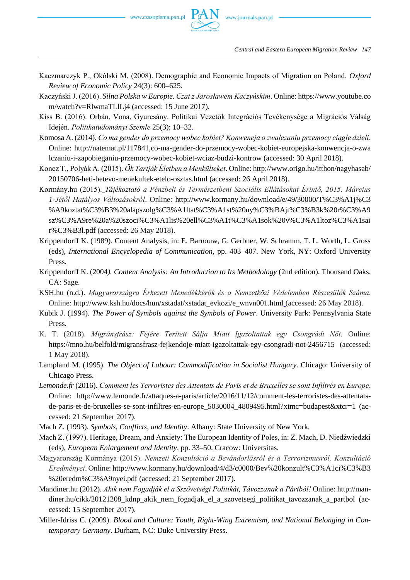

*Central and Eastern European Migration Review 147*

- Kaczmarczyk P., Okólski M. (2008). Demographic and Economic Impacts of Migration on Poland. *Oxford Review of Economic Policy* 24(3): 600–625.
- Kaczyński J. (2016). *Silna Polska w Europie. Czat z Jarosławem Kaczyńskim*. Online: https://www.youtube.co m/watch?v=RlwmaTLlLj4 (accessed: 15 June 2017).
- Kiss B. (2016). Orbán, Vona, Gyurcsány. Politikai Vezetők Integrációs Tevékenysége a Migrációs Válság Idején. *Politikatudományi Szemle* 25(3): 10–32.
- Komosa A. (2014). *Co ma gender do przemocy wobec kobiet? Konwencja o zwalczaniu przemocy ciągle dzieli*. Online: http://natemat.pl/117841,co-ma-gender-do-przemocy-wobec-kobiet-europejska-konwencja-o-zwa lczaniu-i-zapobieganiu-przemocy-wobec-kobiet-wciaz-budzi-kontrow (accessed: 30 April 2018).
- Koncz T., Polyák A. (2015). *Ők Tartják Életben a Menkülteket*. Online: http://www.origo.hu/itthon/nagyhasab/ 20150706-heti-betevo-menekultek-etelo-osztas.html (accessed: 26 April 2018).
- Kormány.hu (2015). *Tájékoztató a Pénzbeli és Természetbeni Szociális Ellátásokat Érintő, 2015. Március 1-Jétől Hatályos Változásokról*. Online: http://www.kormany.hu/download/e/49/30000/T%C3%A1j%C3 %A9koztat%C3%B3%20alapszolg%C3%A1ltat%C3%A1st%20ny%C3%BAjt%C3%B3k%20r%C3%A9 sz%C3%A9re%20a%20szoci%C3%A1lis%20ell%C3%A1t%C3%A1sok%20v%C3%A1ltoz%C3%A1sai r%C3%B3l.pdf (accessed: 26 May 2018).
- Krippendorff K. (1989). Content Analysis, in: E. Barnouw, G. Gerbner, W. Schramm, T. L. Worth, L. Gross (eds), *International Encyclopedia of Communication*, pp. 403–407. New York, NY: Oxford University Press.
- Krippendorff K. (2004*). Content Analysis: An Introduction to Its Methodology* (2nd edition). Thousand Oaks, CA: Sage.
- KSH.hu (n.d.). *Magyarországra Érkezett Menedékkérők és a Nemzetközi Védelemben Részesülők Száma*. Online: http://www.ksh.hu/docs/hun/xstadat/xstadat\_evkozi/e\_wnvn001.html (accessed: 26 May 2018).
- Kubik J. (1994). *The Power of Symbols against the Symbols of Power*. University Park: Pennsylvania State Press.
- K. T. (2018). *Migránsfrász: Fejére Terített Sálja Miatt Igazoltattak egy Csongrádi Nőt.* Online: https://mno.hu/belfold/migransfrasz-fejkendoje-miatt-igazoltattak-egy-csongradi-not-2456715 (accessed: 1 May 2018).
- Lampland M. (1995). *The Object of Labour: Commodification in Socialist Hungary*. Chicago: University of Chicago Press.
- *Lemonde.fr* (2016). *Comment les Terroristes des Attentats de Paris et de Bruxelles se sont Infiltrés en Europe*. Online: http://www.lemonde.fr/attaques-a-paris/article/2016/11/12/comment-les-terroristes-des-attentatsde-paris-et-de-bruxelles-se-sont-infiltres-en-europe\_5030004\_4809495.html?xtmc=budapest&xtcr=1 (accessed: 21 September 2017).
- Mach Z. (1993). *Symbols, Conflicts, and Identity*. Albany: State University of New York.
- Mach Z. (1997). Heritage, Dream, and Anxiety: The European Identity of Poles, in: Z. Mach, D. Niedźwiedzki (eds), *European Enlargement and Identity*, pp. 33–50. Cracow: Universitas.
- Magyarország Kormánya (2015). *Nemzeti Konzultáció a Bevándorlásról és a Terrorizmusról, Konzultáció Eredményei*. Online: http://www.kormany.hu/download/4/d3/c0000/Bev%20konzult%C3%A1ci%C3%B3 %20eredm%C3%A9nyei.pdf (accessed: 21 September 2017).
- Mandiner.hu (2012). *Akik nem Fogadják el a Sszövetségi Politikát, Távozzanak a Pártból!* Online: http://mandiner.hu/cikk/20121208\_kdnp\_akik\_nem\_fogadjak\_el\_a\_szovetsegi\_politikat\_tavozzanak\_a\_partbol (accessed: 15 September 2017).
- Miller-Idriss C. (2009). *Blood and Culture: Youth, Right-Wing Extremism, and National Belonging in Contemporary Germany*. Durham, NC: Duke University Press.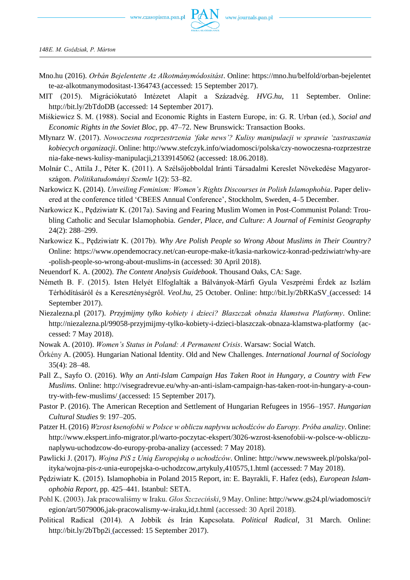

*148E. M. Goździak, P. Márton*

- Mno.hu (2016). *Orbán Bejelentette Az Alkotmánymódositást*. Online: https://mno.hu/belfold/orban-bejelentet te-az-alkotmanymodositast-1364743 (accessed: 15 September 2017).
- MIT (2015). Migrációkutató Intézetet Alapít a Századvég. *HVG.hu*, 11 September. Online: http://bit.ly/2bTdoDB (accessed: 14 September 2017).
- Miśkiewicz S. M. (1988). Social and Economic Rights in Eastern Europe, in: G. R. Urban (ed.), *Social and Economic Rights in the Soviet Bloc*, pp. 47–72. New Brunswick: Transaction Books.
- Młynarz W. (2017). *Nowoczesna rozprzestrzenia 'fake news'? Kulisy manipulacji w sprawie 'zastraszania kobiecych organizacji*. Online: http://www.stefczyk.info/wiadomosci/polska/czy-nowoczesna-rozprzestrze nia-fake-news-kulisy-manipulacji,21339145062 (accessed: 18.06.2018).
- Molnár C., Attila J., Péter K. (2011). A Szélsőjobboldal Iránti Társadalmi Kereslet Növekedése Magyarországon. *Politikatudományi Szemle* 1(2): 53–82.
- Narkowicz K. (2014). *Unveiling Feminism: Women's Rights Discourses in Polish Islamophobia*. Paper delivered at the conference titled 'CBEES Annual Conference', Stockholm, Sweden, 4–5 December.
- Narkowicz K., Pędziwiatr K. (2017a). Saving and Fearing Muslim Women in Post-Communist Poland: Troubling Catholic and Secular Islamophobia*. Gender, Place, and Culture: A Journal of Feminist Geography* 24(2): 288–299.
- Narkowicz K., Pędziwiatr K. (2017b). *Why Are Polish People so Wrong About Muslims in Their Country?* Online: https://www.opendemocracy.net/can-europe-make-it/kasia-narkowicz-konrad-pedziwiatr/why-are -polish-people-so-wrong-about-muslims-in (accessed: 30 April 2018).
- Neuendorf K. A. (2002). *The Content Analysis Guidebook*. Thousand Oaks, CA: Sage.
- Németh B. F. (2015). Isten Helyét Elfoglalták a Bálványok-Márfi Gyula Veszprémi Érdek az Iszlám Térhódításáról és a Kereszténységről. *Veol.hu*, 25 October. Online: http://bit.ly/2bRKaSV (accessed: 14 September 2017).
- Niezalezna.pl (2017). *Przyjmijmy tylko kobiety i dzieci? Błaszczak obnaża kłamstwa Platformy*. Online: http://niezalezna.pl/99058-przyjmijmy-tylko-kobiety-i-dzieci-blaszczak-obnaza-klamstwa-platformy (accessed: 7 May 2018).
- Nowak A. (2010). *Women's Status in Poland: A Permanent Crisis*. Warsaw: Social Watch.
- Örkény A. (2005). Hungarian National Identity. Old and New Challenges. *International Journal of Sociology* 35(4): 28–48.
- Pall Z., Sayfo O. (2016). *Why an Anti-Islam Campaign Has Taken Root in Hungary, a Country with Few Muslims*. Online: http://visegradrevue.eu/why-an-anti-islam-campaign-has-taken-root-in-hungary-a-country-with-few-muslims/ (accessed: 15 September 2017).
- Pastor P. (2016). The American Reception and Settlement of Hungarian Refugees in 1956–1957. *Hungarian Cultural Studies* 9: 197–205.
- Patzer H. (2016) *Wzrost ksenofobii w Polsce w obliczu napływu uchodźców do Europy. Próba analizy*. Online: http://www.ekspert.info-migrator.pl/warto-poczytac-ekspert/3026-wzrost-ksenofobii-w-polsce-w-obliczunaplywu-uchodzcow-do-europy-proba-analizy (accessed: 7 May 2018).
- Pawlicki J. (2017). *Wojna PiS z Unią Europejską o uchodźców*. Online: http://www.newsweek.pl/polska/polityka/wojna-pis-z-unia-europejska-o-uchodzcow,artykuly,410575,1.html (accessed: 7 May 2018).
- Pędziwiatr K. (2015). Islamophobia in Poland 2015 Report, in: E. Bayrakli, F. Hafez (eds), *European Islamophobia Report*, pp. 425–441. Istanbul: SETA.
- Pohl K. (2003). Jak pracowaliśmy w Iraku. *Głos Szczeciński*, 9 May. Online: http://www.gs24.pl/wiadomosci/r egion/art/5079006,jak-pracowalismy-w-iraku,id,t.html (accessed: 30 April 2018).
- Political Radical (2014). A Jobbik és Irán Kapcsolata. *Political Radical*, 31 March. Online: http://bit.ly/2bTbp2i (accessed: 15 September 2017).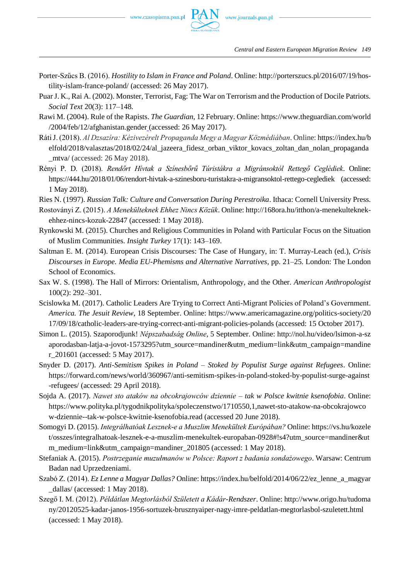- Porter-Szűcs B. (2016). *Hostility to Islam in France and Poland*. Online: http://porterszucs.pl/2016/07/19/hostility-islam-france-poland/ (accessed: 26 May 2017).
- Puar J. K., Rai A. (2002). Monster, Terrorist, Fag: The War on Terrorism and the Production of Docile Patriots. *Social Text* 20(3): 117–148.
- Rawi M. (2004). Rule of the Rapists. *The Guardian*, 12 February. Online: https://www.theguardian.com/world /2004/feb/12/afghanistan.gender (accessed: 26 May 2017).
- Ráti J. (2018). *Al Dzsazíra: Kézivezérelt Propaganda Megy a Magyar Közmédiában*. Online: https://index.hu/b elfold/2018/valasztas/2018/02/24/al\_jazeera\_fidesz\_orban\_viktor\_kovacs\_zoltan\_dan\_nolan\_propaganda \_mtva/ (accessed: 26 May 2018).
- Rényi P. D. (2018). *Rendőrt Hívtak a Színesbőrű Túristákra a Migránsoktól Rettegő Ceglédiek*. Online: https://444.hu/2018/01/06/rendort-hivtak-a-szinesboru-turistakra-a-migransoktol-rettego-ceglediek (accessed: 1 May 2018).
- Ries N. (1997). *Russian Talk: Culture and Conversation During Perestroika*. Ithaca: Cornell University Press.
- Rostoványi Z. (2015). *A Menekülteknek Ehhez Nincs Közük*. Online: http://168ora.hu/itthon/a-menekulteknekehhez-nincs-kozuk-22847 (accessed: 1 May 2018).
- Rynkowski M. (2015). Churches and Religious Communities in Poland with Particular Focus on the Situation of Muslim Communities. *Insight Turkey* 17(1): 143–169.
- Saltman E. M. (2014). European Crisis Discourses: The Case of Hungary, in: T. Murray-Leach (ed.), *Crisis Discourses in Europe. Media EU-Phemisms and Alternative Narratives*, pp. 21–25. London: The London School of Economics.
- Sax W. S. (1998). The Hall of Mirrors: Orientalism, Anthropology, and the Other. *American Anthropologist* 100(2): 292–301.
- Scislowka M. (2017). Catholic Leaders Are Trying to Correct Anti-Migrant Policies of Poland's Government. *America. The Jesuit Review*, 18 September. Online: https://www.americamagazine.org/politics-society/20 17/09/18/catholic-leaders-are-trying-correct-anti-migrant-policies-polands (accessed: 15 October 2017).
- Simon L. (2015). Szaporodjunk! *Népszabadság Online*, 5 September. Online: http://nol.hu/video/lsimon-a-sz aporodasban-latja-a-jovot-1573295?utm\_source=mandiner&utm\_medium=link&utm\_campaign=mandine r\_201601 (accessed: 5 May 2017).
- Snyder D. (2017). *Anti-Semitism Spikes in Poland – Stoked by Populist Surge against Refugees*. Online: https://forward.com/news/world/360967/anti-semitism-spikes-in-poland-stoked-by-populist-surge-against -refugees/ (accessed: 29 April 2018).
- Sojda A. (2017). *Nawet sto ataków na obcokrajowców dziennie – tak w Polsce kwitnie ksenofobia*. Online: https://www.polityka.pl/tygodnikpolityka/spoleczenstwo/1710550,1,nawet-sto-atakow-na-obcokrajowco w-dziennie--tak-w-polsce-kwitnie-ksenofobia.read (accessed 20 June 2018).
- Somogyi D. (2015). *Integrálhatóak Lesznek-e a Muszlim Menekültek Európában?* Online: https://vs.hu/kozele t/osszes/integralhatoak-lesznek-e-a-muszlim-menekultek-europaban-0928#!s4?utm\_source=mandiner&ut m\_medium=link&utm\_campaign=mandiner\_201805 (accessed: 1 May 2018).
- Stefaniak A. (2015). *Postrzeganie muzułmanów w Polsce: Raport z badania sondażowego*. Warsaw: Centrum Badan nad Uprzedzeniami.
- Szabó Z. (2014). *Ez Lenne a Magyar Dallas?* Online: https://index.hu/belfold/2014/06/22/ez\_lenne\_a\_magyar \_dallas/ (accessed: 1 May 2018).
- Szegő I. M. (2012). *Példátlan Megtorlásból Született a Kádár-Rendszer*. Online: http://www.origo.hu/tudoma ny/20120525-kadar-janos-1956-sortuzek-brusznyaiper-nagy-imre-peldatlan-megtorlasbol-szuletett.html (accessed: 1 May 2018).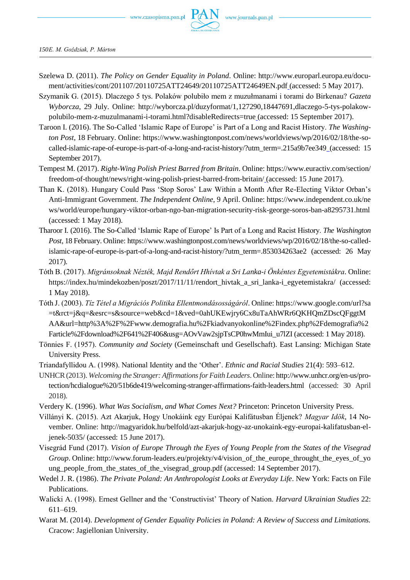

*150E. M. Goździak, P. Márton*

- Szelewa D. (2011). *The Policy on Gender Equality in Poland*. Online: http://www.europarl.europa.eu/document/activities/cont/201107/20110725ATT24649/20110725ATT24649EN.pdf (accessed: 5 May 2017).
- Szymanik G. (2015). Dlaczego 5 tys. Polaków polubiło mem z muzułmanami i torami do Birkenau? *Gazeta Wyborcza*, 29 July. Online: http://wyborcza.pl/duzyformat/1,127290,18447691,dlaczego-5-tys-polakowpolubilo-mem-z-muzulmanami-i-torami.html?disableRedirects=true (accessed: 15 September 2017).
- Taroon I. (2016). The So-Called 'Islamic Rape of Europe' is Part of a Long and Racist History. *The Washington Post*, 18 February. Online: https://www.washingtonpost.com/news/worldviews/wp/2016/02/18/the-socalled-islamic-rape-of-europe-is-part-of-a-long-and-racist-history/?utm\_term=.215a9b7ee349 (accessed: 15 September 2017).
- Tempest M. (2017). *Right-Wing Polish Priest Barred from Britain*. Online: https://www.euractiv.com/section/ freedom-of-thought/news/right-wing-polish-priest-barred-from-britain/ (accessed: 15 June 2017).
- Than K. (2018). Hungary Could Pass 'Stop Soros' Law Within a Month After Re-Electing Viktor Orban's Anti-Immigrant Government. *The Independent Online*, 9 April. Online: https://www.independent.co.uk/ne ws/world/europe/hungary-viktor-orban-ngo-ban-migration-security-risk-george-soros-ban-a8295731.html (accessed: 1 May 2018).
- Tharoor I. (2016). The So-Called 'Islamic Rape of Europe' Is Part of a Long and Racist History. *The Washington Post*, 18 February. Online: https://www.washingtonpost.com/news/worldviews/wp/2016/02/18/the-so-calledislamic-rape-of-europe-is-part-of-a-long-and-racist-history/?utm\_term=.853034263ae2 (accessed: 26 May 2017).
- Tóth B. (2017). *Migránsoknak Nézték, Majd Rendőrt Hhívtak a Sri Lanka-i Önkéntes Egyetemistákra*. Online: https://index.hu/mindekozben/poszt/2017/11/11/rendort\_hivtak\_a\_sri\_lanka-i\_egyetemistakra/ (accessed: 1 May 2018).
- Tóth J. (2003). *Tíz Tétel a Migrációs Politika Ellentmondásosságáról*. Online: https://www.google.com/url?sa =t&rct=j&q=&esrc=s&source=web&cd=1&ved=0ahUKEwjry6Cx8uTaAhWRr6QKHQmZDscQFggtM AA&url=http%3A%2F%2Fwww.demografia.hu%2Fkiadvanyokonline%2Findex.php%2Fdemografia%2 Farticle%2Fdownload%2F641%2F406&usg=AOvVaw2sjpTsCP0hwMmIui\_u7lZI (accessed: 1 May 2018).
- Tönnies F. (1957). *Community and Society* (Gemeinschaft und Gesellschaft). East Lansing: Michigan State University Press.
- Triandafyllidou A. (1998). National Identity and the 'Other'. *Ethnic and Racial Studies* 21(4): 593–612.
- UNHCR (2013). *Welcoming the Stranger: Affirmations for Faith Leaders*. Online: http://www.unhcr.org/en-us/protection/hcdialogue%20/51b6de419/welcoming-stranger-affirmations-faith-leaders.html (accessed: 30 April 2018).
- Verdery K. (1996). *What Was Socialism, and What Comes Next?* Princeton: Princeton University Press.
- Villányi K. (2015). Azt Akarjuk, Hogy Unokáink egy Európai Kalifátusban Éljenek? *Magyar Idök*, 14 November. Online: http://magyaridok.hu/belfold/azt-akarjuk-hogy-az-unokaink-egy-europai-kalifatusban-eljenek-5035/ (accessed: 15 June 2017).
- Visegrád Fund (2017). *Vision of Europe Through the Eyes of Young People from the States of the Visegrad Group*. Online: http://www.forum-leaders.eu/projekty/v4/vision\_of\_the\_europe\_throught\_the\_eyes\_of\_yo ung\_people\_from\_the\_states\_of\_the\_visegrad\_group.pdf (accessed: 14 September 2017).
- Wedel J. R. (1986). *The Private Poland: An Anthropologist Looks at Everyday Life*. New York: Facts on File Publications.
- Walicki A. (1998). Ernest Gellner and the 'Constructivist' Theory of Nation. *Harvard Ukrainian Studies* 22: 611–619.
- Warat M. (2014). *Development of Gender Equality Policies in Poland: A Review of Success and Limitations.* Cracow: Jagiellonian University.